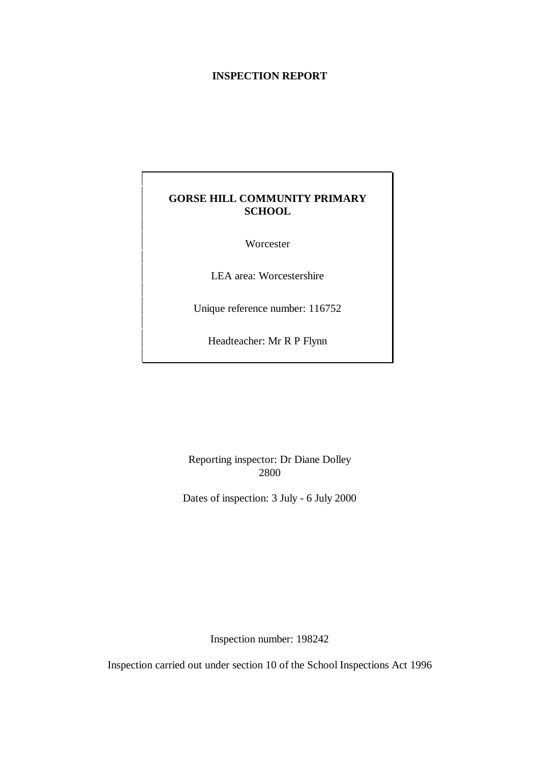## **INSPECTION REPORT**

## **GORSE HILL COMMUNITY PRIMARY SCHOOL**

Worcester

LEA area: Worcestershire

Unique reference number: 116752

Headteacher: Mr R P Flynn

Reporting inspector: Dr Diane Dolley 2800

Dates of inspection: 3 July - 6 July 2000

Inspection number: 198242

Inspection carried out under section 10 of the School Inspections Act 1996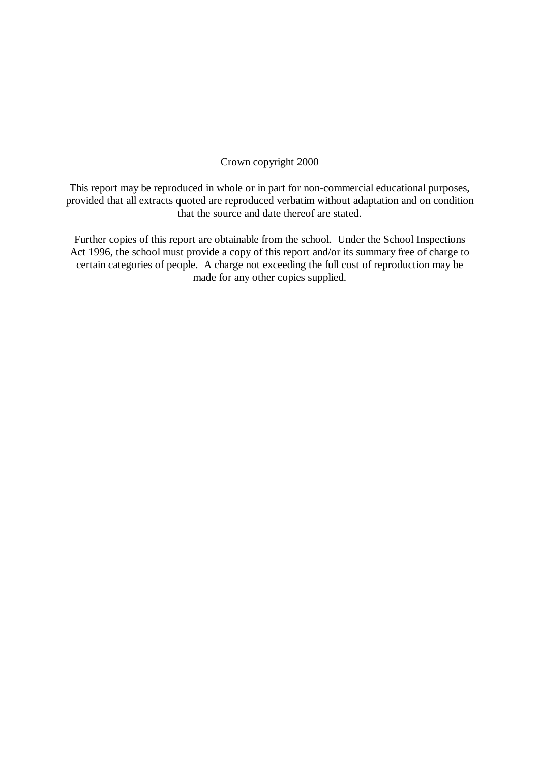## Crown copyright 2000

This report may be reproduced in whole or in part for non-commercial educational purposes, provided that all extracts quoted are reproduced verbatim without adaptation and on condition that the source and date thereof are stated.

Further copies of this report are obtainable from the school. Under the School Inspections Act 1996, the school must provide a copy of this report and/or its summary free of charge to certain categories of people. A charge not exceeding the full cost of reproduction may be made for any other copies supplied.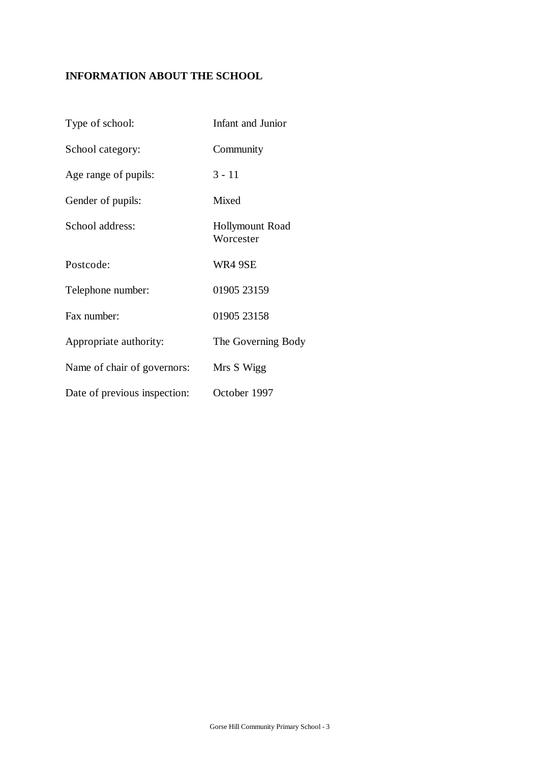# **INFORMATION ABOUT THE SCHOOL**

| Type of school:              | Infant and Junior                   |
|------------------------------|-------------------------------------|
| School category:             | Community                           |
| Age range of pupils:         | $3 - 11$                            |
| Gender of pupils:            | Mixed                               |
| School address:              | <b>Hollymount Road</b><br>Worcester |
| Postcode:                    | WR4 9SE                             |
| Telephone number:            | 01905 23159                         |
| Fax number:                  | 01905 23158                         |
| Appropriate authority:       | The Governing Body                  |
| Name of chair of governors:  | Mrs S Wigg                          |
| Date of previous inspection: | October 1997                        |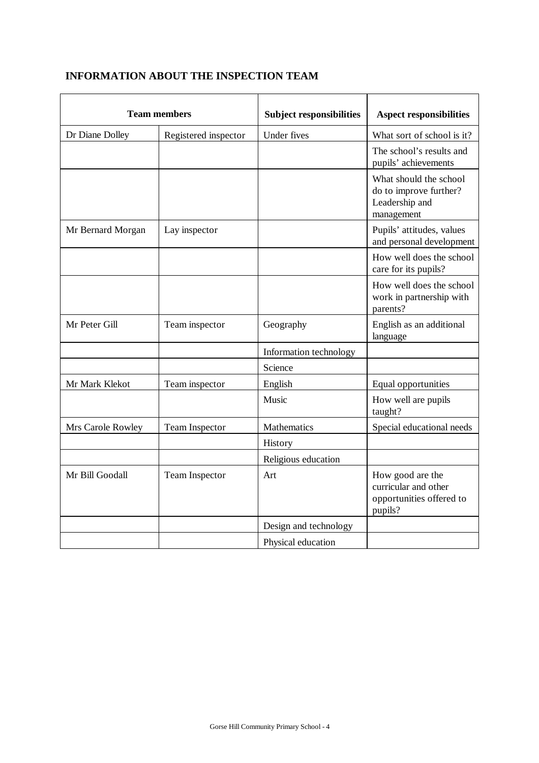# **INFORMATION ABOUT THE INSPECTION TEAM**

| <b>Team members</b> |                      | <b>Subject responsibilities</b> | <b>Aspect responsibilities</b>                                                   |
|---------------------|----------------------|---------------------------------|----------------------------------------------------------------------------------|
| Dr Diane Dolley     | Registered inspector | <b>Under fives</b>              | What sort of school is it?                                                       |
|                     |                      |                                 | The school's results and<br>pupils' achievements                                 |
|                     |                      |                                 | What should the school<br>do to improve further?<br>Leadership and<br>management |
| Mr Bernard Morgan   | Lay inspector        |                                 | Pupils' attitudes, values<br>and personal development                            |
|                     |                      |                                 | How well does the school<br>care for its pupils?                                 |
|                     |                      |                                 | How well does the school<br>work in partnership with<br>parents?                 |
| Mr Peter Gill       | Team inspector       | Geography                       | English as an additional<br>language                                             |
|                     |                      | Information technology          |                                                                                  |
|                     |                      | Science                         |                                                                                  |
| Mr Mark Klekot      | Team inspector       | English                         | Equal opportunities                                                              |
|                     |                      | Music                           | How well are pupils<br>taught?                                                   |
| Mrs Carole Rowley   | Team Inspector       | Mathematics                     | Special educational needs                                                        |
|                     |                      | History                         |                                                                                  |
|                     |                      | Religious education             |                                                                                  |
| Mr Bill Goodall     | Team Inspector       | Art                             | How good are the<br>curricular and other<br>opportunities offered to<br>pupils?  |
|                     |                      | Design and technology           |                                                                                  |
|                     |                      | Physical education              |                                                                                  |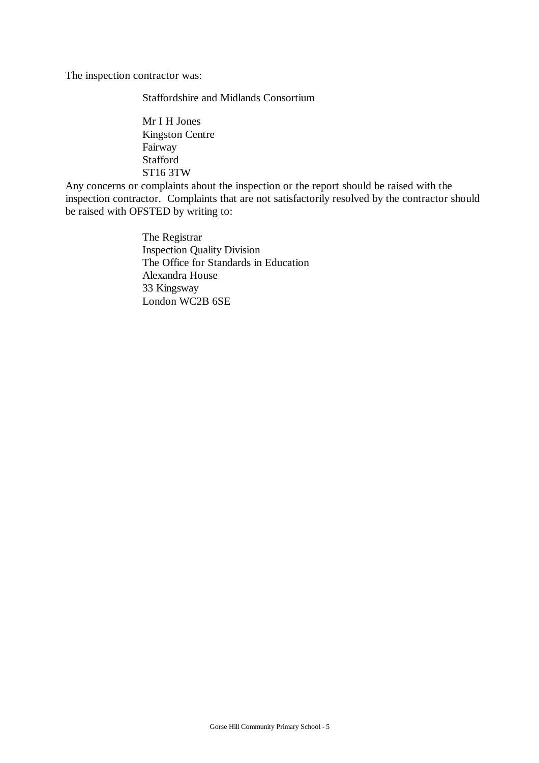The inspection contractor was:

Staffordshire and Midlands Consortium

Mr I H Jones Kingston Centre Fairway Stafford ST16 3TW

Any concerns or complaints about the inspection or the report should be raised with the inspection contractor. Complaints that are not satisfactorily resolved by the contractor should be raised with OFSTED by writing to:

> The Registrar Inspection Quality Division The Office for Standards in Education Alexandra House 33 Kingsway London WC2B 6SE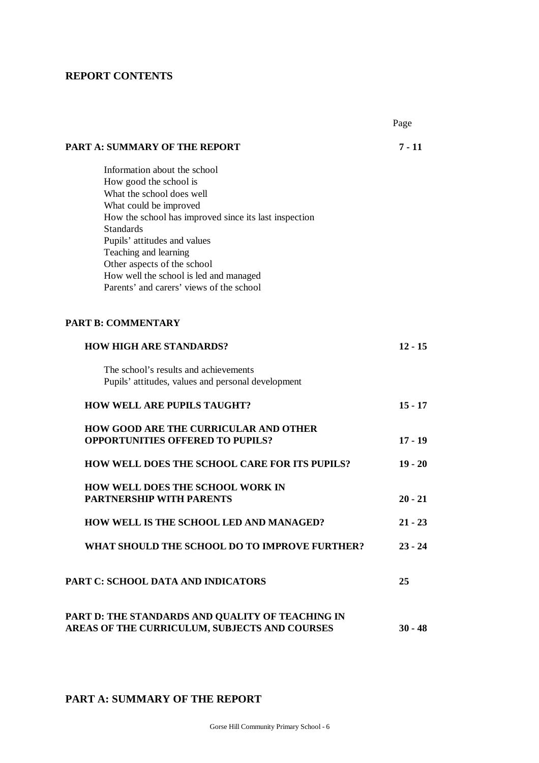## **REPORT CONTENTS**

|                                                                                    | Page      |
|------------------------------------------------------------------------------------|-----------|
| <b>PART A: SUMMARY OF THE REPORT</b>                                               | $7 - 11$  |
| Information about the school                                                       |           |
| How good the school is                                                             |           |
| What the school does well                                                          |           |
| What could be improved                                                             |           |
| How the school has improved since its last inspection                              |           |
| <b>Standards</b>                                                                   |           |
| Pupils' attitudes and values                                                       |           |
| Teaching and learning                                                              |           |
| Other aspects of the school                                                        |           |
| How well the school is led and managed<br>Parents' and carers' views of the school |           |
|                                                                                    |           |
| <b>PART B: COMMENTARY</b>                                                          |           |
| <b>HOW HIGH ARE STANDARDS?</b>                                                     | $12 - 15$ |
| The school's results and achievements                                              |           |
| Pupils' attitudes, values and personal development                                 |           |
| <b>HOW WELL ARE PUPILS TAUGHT?</b>                                                 | $15 - 17$ |
| <b>HOW GOOD ARE THE CURRICULAR AND OTHER</b>                                       |           |
| <b>OPPORTUNITIES OFFERED TO PUPILS?</b>                                            | $17 - 19$ |
| HOW WELL DOES THE SCHOOL CARE FOR ITS PUPILS?                                      | $19 - 20$ |
| <b>HOW WELL DOES THE SCHOOL WORK IN</b>                                            |           |
| <b>PARTNERSHIP WITH PARENTS</b>                                                    | $20 - 21$ |
| HOW WELL IS THE SCHOOL LED AND MANAGED?                                            | $21 - 23$ |
| WHAT SHOULD THE SCHOOL DO TO IMPROVE FURTHER?                                      | $23 - 24$ |
| PART C: SCHOOL DATA AND INDICATORS                                                 | 25        |
| PART D: THE STANDARDS AND QUALITY OF TEACHING IN                                   |           |
| AREAS OF THE CURRICULUM, SUBJECTS AND COURSES                                      | $30 - 48$ |

# **PART A: SUMMARY OF THE REPORT**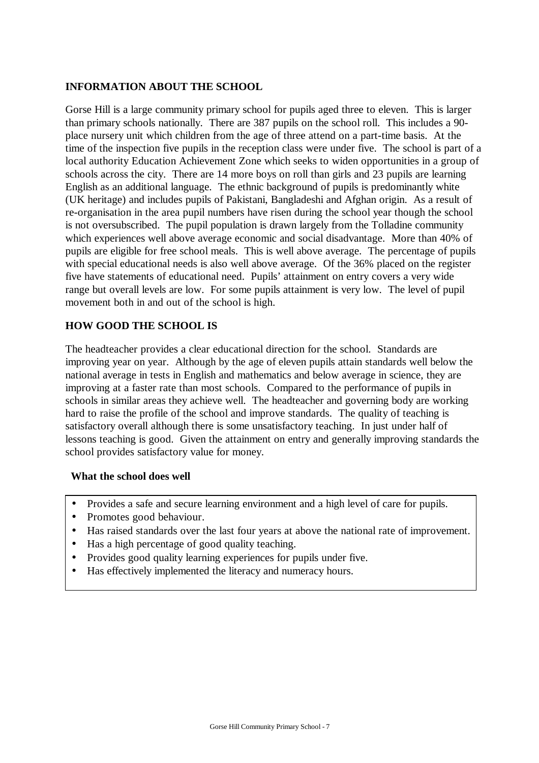## **INFORMATION ABOUT THE SCHOOL**

Gorse Hill is a large community primary school for pupils aged three to eleven. This is larger than primary schools nationally. There are 387 pupils on the school roll. This includes a 90 place nursery unit which children from the age of three attend on a part-time basis. At the time of the inspection five pupils in the reception class were under five. The school is part of a local authority Education Achievement Zone which seeks to widen opportunities in a group of schools across the city. There are 14 more boys on roll than girls and 23 pupils are learning English as an additional language. The ethnic background of pupils is predominantly white (UK heritage) and includes pupils of Pakistani, Bangladeshi and Afghan origin. As a result of re-organisation in the area pupil numbers have risen during the school year though the school is not oversubscribed. The pupil population is drawn largely from the Tolladine community which experiences well above average economic and social disadvantage. More than 40% of pupils are eligible for free school meals. This is well above average. The percentage of pupils with special educational needs is also well above average. Of the 36% placed on the register five have statements of educational need. Pupils' attainment on entry covers a very wide range but overall levels are low. For some pupils attainment is very low. The level of pupil movement both in and out of the school is high.

## **HOW GOOD THE SCHOOL IS**

The headteacher provides a clear educational direction for the school. Standards are improving year on year. Although by the age of eleven pupils attain standards well below the national average in tests in English and mathematics and below average in science, they are improving at a faster rate than most schools. Compared to the performance of pupils in schools in similar areas they achieve well. The headteacher and governing body are working hard to raise the profile of the school and improve standards. The quality of teaching is satisfactory overall although there is some unsatisfactory teaching. In just under half of lessons teaching is good. Given the attainment on entry and generally improving standards the school provides satisfactory value for money.

## **What the school does well**

- Provides a safe and secure learning environment and a high level of care for pupils.
- Promotes good behaviour.
- Has raised standards over the last four years at above the national rate of improvement.
- Has a high percentage of good quality teaching.
- Provides good quality learning experiences for pupils under five.
- Has effectively implemented the literacy and numeracy hours.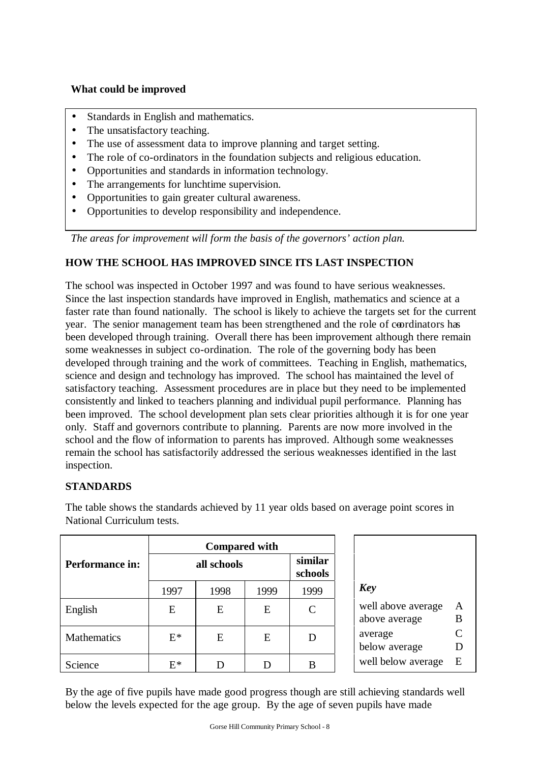## **What could be improved**

- Standards in English and mathematics.
- The unsatisfactory teaching.
- The use of assessment data to improve planning and target setting.
- The role of co-ordinators in the foundation subjects and religious education.
- Opportunities and standards in information technology.
- The arrangements for lunchtime supervision.
- Opportunities to gain greater cultural awareness.
- Opportunities to develop responsibility and independence.

*The areas for improvement will form the basis of the governors' action plan.*

## **HOW THE SCHOOL HAS IMPROVED SINCE ITS LAST INSPECTION**

The school was inspected in October 1997 and was found to have serious weaknesses. Since the last inspection standards have improved in English, mathematics and science at a faster rate than found nationally. The school is likely to achieve the targets set for the current year. The senior management team has been strengthened and the role of coordinators has been developed through training. Overall there has been improvement although there remain some weaknesses in subject co-ordination. The role of the governing body has been developed through training and the work of committees. Teaching in English, mathematics, science and design and technology has improved. The school has maintained the level of satisfactory teaching. Assessment procedures are in place but they need to be implemented consistently and linked to teachers planning and individual pupil performance. Planning has been improved. The school development plan sets clear priorities although it is for one year only. Staff and governors contribute to planning. Parents are now more involved in the school and the flow of information to parents has improved. Although some weaknesses remain the school has satisfactorily addressed the serious weaknesses identified in the last inspection.

## **STANDARDS**

|                        | <b>Compared with</b> |             |      |                             |
|------------------------|----------------------|-------------|------|-----------------------------|
| <b>Performance in:</b> |                      | all schools |      | similar<br>schools          |
|                        | 1997                 | 1998        | 1999 | 1999                        |
| English                | E                    | E           | E    | $\mathcal{C}_{\mathcal{C}}$ |
| Mathematics            | $E^*$                | E           | E    | D                           |
| Science                | $E^*$                |             |      | B                           |

The table shows the standards achieved by 11 year olds based on average point scores in National Curriculum tests.

By the age of five pupils have made good progress though are still achieving standards well below the levels expected for the age group. By the age of seven pupils have made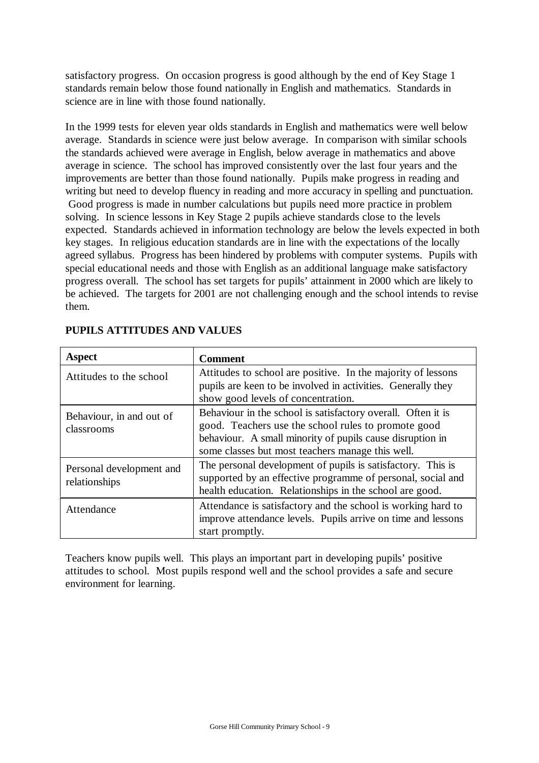satisfactory progress. On occasion progress is good although by the end of Key Stage 1 standards remain below those found nationally in English and mathematics. Standards in science are in line with those found nationally.

In the 1999 tests for eleven year olds standards in English and mathematics were well below average. Standards in science were just below average. In comparison with similar schools the standards achieved were average in English, below average in mathematics and above average in science. The school has improved consistently over the last four years and the improvements are better than those found nationally. Pupils make progress in reading and writing but need to develop fluency in reading and more accuracy in spelling and punctuation. Good progress is made in number calculations but pupils need more practice in problem solving. In science lessons in Key Stage 2 pupils achieve standards close to the levels expected. Standards achieved in information technology are below the levels expected in both key stages. In religious education standards are in line with the expectations of the locally agreed syllabus. Progress has been hindered by problems with computer systems. Pupils with special educational needs and those with English as an additional language make satisfactory progress overall. The school has set targets for pupils' attainment in 2000 which are likely to be achieved. The targets for 2001 are not challenging enough and the school intends to revise them.

| <b>Aspect</b>                             | <b>Comment</b>                                                                                                                                                                                                                       |
|-------------------------------------------|--------------------------------------------------------------------------------------------------------------------------------------------------------------------------------------------------------------------------------------|
| Attitudes to the school                   | Attitudes to school are positive. In the majority of lessons<br>pupils are keen to be involved in activities. Generally they<br>show good levels of concentration.                                                                   |
| Behaviour, in and out of<br>classrooms    | Behaviour in the school is satisfactory overall. Often it is<br>good. Teachers use the school rules to promote good<br>behaviour. A small minority of pupils cause disruption in<br>some classes but most teachers manage this well. |
| Personal development and<br>relationships | The personal development of pupils is satisfactory. This is<br>supported by an effective programme of personal, social and<br>health education. Relationships in the school are good.                                                |
| Attendance                                | Attendance is satisfactory and the school is working hard to<br>improve attendance levels. Pupils arrive on time and lessons<br>start promptly.                                                                                      |

## **PUPILS ATTITUDES AND VALUES**

Teachers know pupils well. This plays an important part in developing pupils' positive attitudes to school. Most pupils respond well and the school provides a safe and secure environment for learning.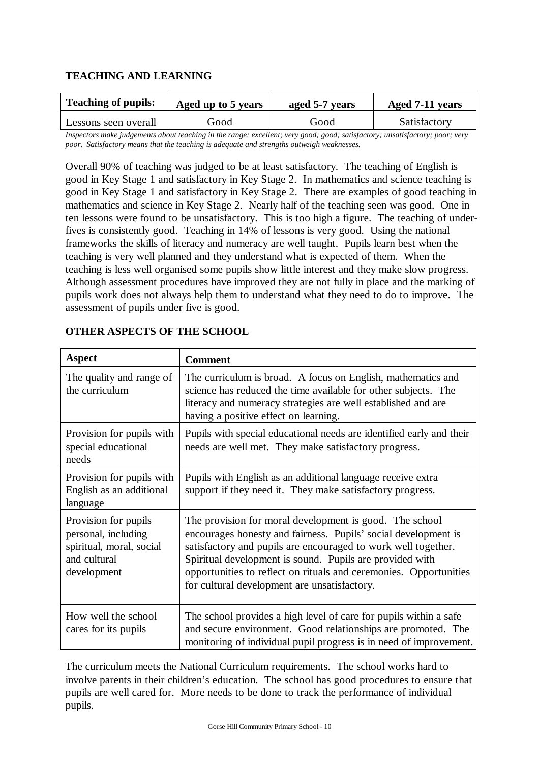## **TEACHING AND LEARNING**

| <b>Teaching of pupils:</b> | Aged up to 5 years | aged 5-7 years | Aged 7-11 years |
|----------------------------|--------------------|----------------|-----------------|
| Lessons seen overall       | Good               | Good           | Satisfactory    |

*Inspectors make judgements about teaching in the range: excellent; very good; good; satisfactory; unsatisfactory; poor; very poor. Satisfactory means that the teaching is adequate and strengths outweigh weaknesses.*

Overall 90% of teaching was judged to be at least satisfactory. The teaching of English is good in Key Stage 1 and satisfactory in Key Stage 2. In mathematics and science teaching is good in Key Stage 1 and satisfactory in Key Stage 2. There are examples of good teaching in mathematics and science in Key Stage 2. Nearly half of the teaching seen was good. One in ten lessons were found to be unsatisfactory. This is too high a figure. The teaching of underfives is consistently good. Teaching in 14% of lessons is very good. Using the national frameworks the skills of literacy and numeracy are well taught. Pupils learn best when the teaching is very well planned and they understand what is expected of them. When the teaching is less well organised some pupils show little interest and they make slow progress. Although assessment procedures have improved they are not fully in place and the marking of pupils work does not always help them to understand what they need to do to improve. The assessment of pupils under five is good.

| <b>Aspect</b>                                                                                          | <b>Comment</b>                                                                                                                                                                                                                                                                                                                                                              |
|--------------------------------------------------------------------------------------------------------|-----------------------------------------------------------------------------------------------------------------------------------------------------------------------------------------------------------------------------------------------------------------------------------------------------------------------------------------------------------------------------|
| The quality and range of<br>the curriculum                                                             | The curriculum is broad. A focus on English, mathematics and<br>science has reduced the time available for other subjects. The<br>literacy and numeracy strategies are well established and are<br>having a positive effect on learning.                                                                                                                                    |
| Provision for pupils with<br>special educational<br>needs                                              | Pupils with special educational needs are identified early and their<br>needs are well met. They make satisfactory progress.                                                                                                                                                                                                                                                |
| Provision for pupils with<br>English as an additional<br>language                                      | Pupils with English as an additional language receive extra<br>support if they need it. They make satisfactory progress.                                                                                                                                                                                                                                                    |
| Provision for pupils<br>personal, including<br>spiritual, moral, social<br>and cultural<br>development | The provision for moral development is good. The school<br>encourages honesty and fairness. Pupils' social development is<br>satisfactory and pupils are encouraged to work well together.<br>Spiritual development is sound. Pupils are provided with<br>opportunities to reflect on rituals and ceremonies. Opportunities<br>for cultural development are unsatisfactory. |
| How well the school<br>cares for its pupils                                                            | The school provides a high level of care for pupils within a safe<br>and secure environment. Good relationships are promoted. The<br>monitoring of individual pupil progress is in need of improvement.                                                                                                                                                                     |

## **OTHER ASPECTS OF THE SCHOOL**

The curriculum meets the National Curriculum requirements. The school works hard to involve parents in their children's education. The school has good procedures to ensure that pupils are well cared for. More needs to be done to track the performance of individual pupils.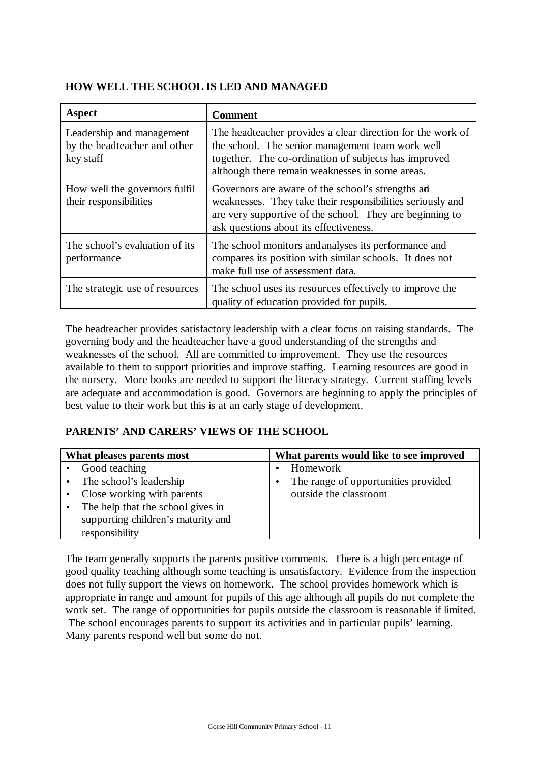## **HOW WELL THE SCHOOL IS LED AND MANAGED**

| <b>Aspect</b>                                                          | <b>Comment</b>                                                                                                                                                                                                            |
|------------------------------------------------------------------------|---------------------------------------------------------------------------------------------------------------------------------------------------------------------------------------------------------------------------|
| Leadership and management<br>by the headteacher and other<br>key staff | The headteacher provides a clear direction for the work of<br>the school. The senior management team work well<br>together. The co-ordination of subjects has improved<br>although there remain weaknesses in some areas. |
| How well the governors fulfil<br>their responsibilities                | Governors are aware of the school's strengths ad<br>weaknesses. They take their responsibilities seriously and<br>are very supportive of the school. They are beginning to<br>ask questions about its effectiveness.      |
| The school's evaluation of its<br>performance                          | The school monitors and analyses its performance and<br>compares its position with similar schools. It does not<br>make full use of assessment data.                                                                      |
| The strategic use of resources                                         | The school uses its resources effectively to improve the<br>quality of education provided for pupils.                                                                                                                     |

The headteacher provides satisfactory leadership with a clear focus on raising standards. The governing body and the headteacher have a good understanding of the strengths and weaknesses of the school. All are committed to improvement. They use the resources available to them to support priorities and improve staffing. Learning resources are good in the nursery. More books are needed to support the literacy strategy. Current staffing levels are adequate and accommodation is good. Governors are beginning to apply the principles of best value to their work but this is at an early stage of development.

# **PARENTS' AND CARERS' VIEWS OF THE SCHOOL**

| What pleases parents most          | What parents would like to see improved |
|------------------------------------|-----------------------------------------|
| Good teaching                      | Homework                                |
| The school's leadership            | The range of opportunities provided     |
| Close working with parents         | outside the classroom                   |
| The help that the school gives in  |                                         |
| supporting children's maturity and |                                         |
| responsibility                     |                                         |

The team generally supports the parents positive comments. There is a high percentage of good quality teaching although some teaching is unsatisfactory. Evidence from the inspection does not fully support the views on homework. The school provides homework which is appropriate in range and amount for pupils of this age although all pupils do not complete the work set. The range of opportunities for pupils outside the classroom is reasonable if limited.

 The school encourages parents to support its activities and in particular pupils' learning. Many parents respond well but some do not.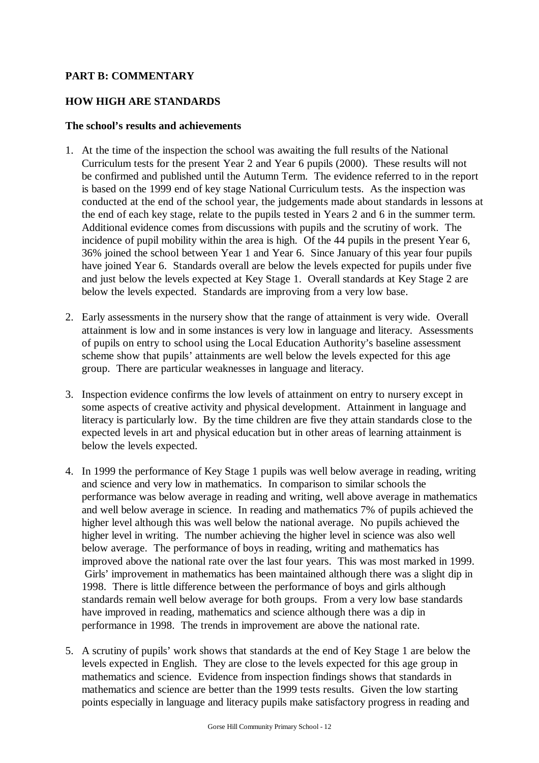## **PART B: COMMENTARY**

## **HOW HIGH ARE STANDARDS**

#### **The school's results and achievements**

- 1. At the time of the inspection the school was awaiting the full results of the National Curriculum tests for the present Year 2 and Year 6 pupils (2000). These results will not be confirmed and published until the Autumn Term. The evidence referred to in the report is based on the 1999 end of key stage National Curriculum tests. As the inspection was conducted at the end of the school year, the judgements made about standards in lessons at the end of each key stage, relate to the pupils tested in Years 2 and 6 in the summer term. Additional evidence comes from discussions with pupils and the scrutiny of work. The incidence of pupil mobility within the area is high. Of the 44 pupils in the present Year 6, 36% joined the school between Year 1 and Year 6. Since January of this year four pupils have joined Year 6. Standards overall are below the levels expected for pupils under five and just below the levels expected at Key Stage 1. Overall standards at Key Stage 2 are below the levels expected. Standards are improving from a very low base.
- 2. Early assessments in the nursery show that the range of attainment is very wide. Overall attainment is low and in some instances is very low in language and literacy. Assessments of pupils on entry to school using the Local Education Authority's baseline assessment scheme show that pupils' attainments are well below the levels expected for this age group. There are particular weaknesses in language and literacy.
- 3. Inspection evidence confirms the low levels of attainment on entry to nursery except in some aspects of creative activity and physical development. Attainment in language and literacy is particularly low. By the time children are five they attain standards close to the expected levels in art and physical education but in other areas of learning attainment is below the levels expected.
- 4. In 1999 the performance of Key Stage 1 pupils was well below average in reading, writing and science and very low in mathematics. In comparison to similar schools the performance was below average in reading and writing, well above average in mathematics and well below average in science. In reading and mathematics 7% of pupils achieved the higher level although this was well below the national average. No pupils achieved the higher level in writing. The number achieving the higher level in science was also well below average. The performance of boys in reading, writing and mathematics has improved above the national rate over the last four years. This was most marked in 1999. Girls' improvement in mathematics has been maintained although there was a slight dip in 1998. There is little difference between the performance of boys and girls although standards remain well below average for both groups. From a very low base standards have improved in reading, mathematics and science although there was a dip in performance in 1998. The trends in improvement are above the national rate.
- 5. A scrutiny of pupils' work shows that standards at the end of Key Stage 1 are below the levels expected in English. They are close to the levels expected for this age group in mathematics and science. Evidence from inspection findings shows that standards in mathematics and science are better than the 1999 tests results. Given the low starting points especially in language and literacy pupils make satisfactory progress in reading and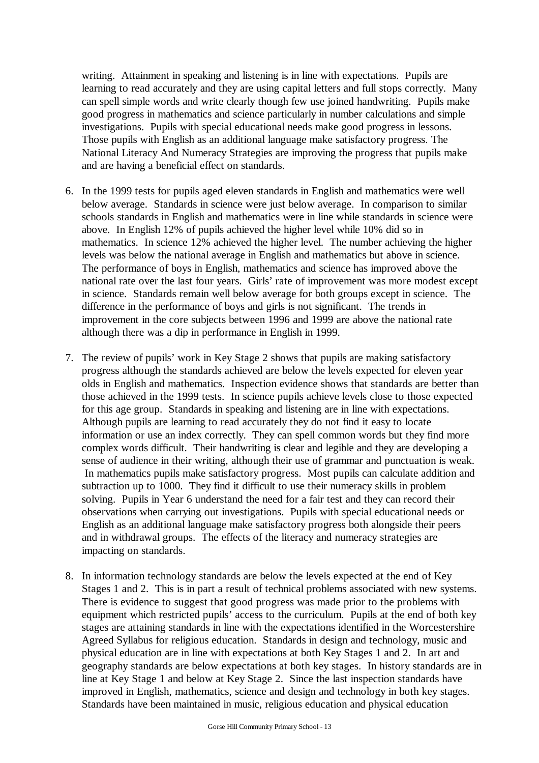writing. Attainment in speaking and listening is in line with expectations. Pupils are learning to read accurately and they are using capital letters and full stops correctly. Many can spell simple words and write clearly though few use joined handwriting. Pupils make good progress in mathematics and science particularly in number calculations and simple investigations. Pupils with special educational needs make good progress in lessons. Those pupils with English as an additional language make satisfactory progress. The National Literacy And Numeracy Strategies are improving the progress that pupils make and are having a beneficial effect on standards.

- 6. In the 1999 tests for pupils aged eleven standards in English and mathematics were well below average. Standards in science were just below average. In comparison to similar schools standards in English and mathematics were in line while standards in science were above. In English 12% of pupils achieved the higher level while 10% did so in mathematics. In science 12% achieved the higher level. The number achieving the higher levels was below the national average in English and mathematics but above in science. The performance of boys in English, mathematics and science has improved above the national rate over the last four years. Girls' rate of improvement was more modest except in science. Standards remain well below average for both groups except in science. The difference in the performance of boys and girls is not significant. The trends in improvement in the core subjects between 1996 and 1999 are above the national rate although there was a dip in performance in English in 1999.
- 7. The review of pupils' work in Key Stage 2 shows that pupils are making satisfactory progress although the standards achieved are below the levels expected for eleven year olds in English and mathematics. Inspection evidence shows that standards are better than those achieved in the 1999 tests. In science pupils achieve levels close to those expected for this age group. Standards in speaking and listening are in line with expectations. Although pupils are learning to read accurately they do not find it easy to locate information or use an index correctly. They can spell common words but they find more complex words difficult. Their handwriting is clear and legible and they are developing a sense of audience in their writing, although their use of grammar and punctuation is weak. In mathematics pupils make satisfactory progress. Most pupils can calculate addition and subtraction up to 1000. They find it difficult to use their numeracy skills in problem solving. Pupils in Year 6 understand the need for a fair test and they can record their observations when carrying out investigations. Pupils with special educational needs or English as an additional language make satisfactory progress both alongside their peers and in withdrawal groups. The effects of the literacy and numeracy strategies are impacting on standards.
- 8. In information technology standards are below the levels expected at the end of Key Stages 1 and 2. This is in part a result of technical problems associated with new systems. There is evidence to suggest that good progress was made prior to the problems with equipment which restricted pupils' access to the curriculum. Pupils at the end of both key stages are attaining standards in line with the expectations identified in the Worcestershire Agreed Syllabus for religious education. Standards in design and technology, music and physical education are in line with expectations at both Key Stages 1 and 2. In art and geography standards are below expectations at both key stages. In history standards are in line at Key Stage 1 and below at Key Stage 2. Since the last inspection standards have improved in English, mathematics, science and design and technology in both key stages. Standards have been maintained in music, religious education and physical education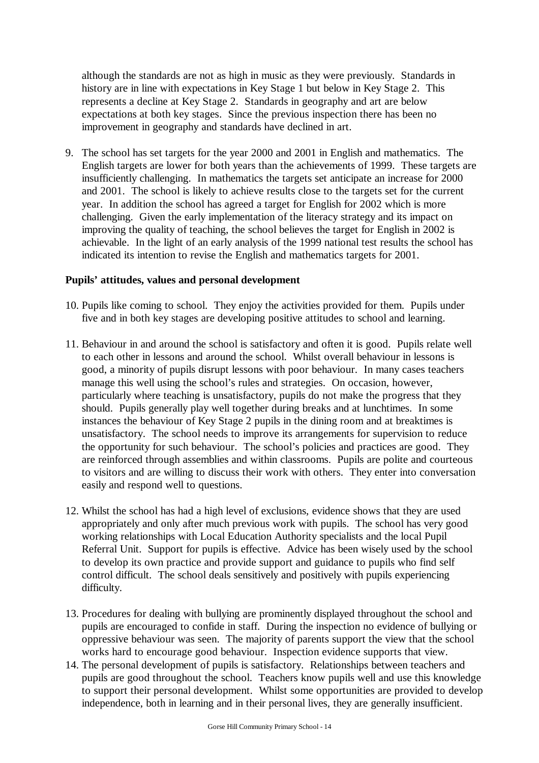although the standards are not as high in music as they were previously. Standards in history are in line with expectations in Key Stage 1 but below in Key Stage 2. This represents a decline at Key Stage 2. Standards in geography and art are below expectations at both key stages. Since the previous inspection there has been no improvement in geography and standards have declined in art.

9. The school has set targets for the year 2000 and 2001 in English and mathematics. The English targets are lower for both years than the achievements of 1999. These targets are insufficiently challenging. In mathematics the targets set anticipate an increase for 2000 and 2001. The school is likely to achieve results close to the targets set for the current year. In addition the school has agreed a target for English for 2002 which is more challenging. Given the early implementation of the literacy strategy and its impact on improving the quality of teaching, the school believes the target for English in 2002 is achievable. In the light of an early analysis of the 1999 national test results the school has indicated its intention to revise the English and mathematics targets for 2001.

#### **Pupils' attitudes, values and personal development**

- 10. Pupils like coming to school. They enjoy the activities provided for them. Pupils under five and in both key stages are developing positive attitudes to school and learning.
- 11. Behaviour in and around the school is satisfactory and often it is good. Pupils relate well to each other in lessons and around the school. Whilst overall behaviour in lessons is good, a minority of pupils disrupt lessons with poor behaviour. In many cases teachers manage this well using the school's rules and strategies. On occasion, however, particularly where teaching is unsatisfactory, pupils do not make the progress that they should. Pupils generally play well together during breaks and at lunchtimes. In some instances the behaviour of Key Stage 2 pupils in the dining room and at breaktimes is unsatisfactory. The school needs to improve its arrangements for supervision to reduce the opportunity for such behaviour. The school's policies and practices are good. They are reinforced through assemblies and within classrooms. Pupils are polite and courteous to visitors and are willing to discuss their work with others. They enter into conversation easily and respond well to questions.
- 12. Whilst the school has had a high level of exclusions, evidence shows that they are used appropriately and only after much previous work with pupils. The school has very good working relationships with Local Education Authority specialists and the local Pupil Referral Unit. Support for pupils is effective. Advice has been wisely used by the school to develop its own practice and provide support and guidance to pupils who find self control difficult. The school deals sensitively and positively with pupils experiencing difficulty.
- 13. Procedures for dealing with bullying are prominently displayed throughout the school and pupils are encouraged to confide in staff. During the inspection no evidence of bullying or oppressive behaviour was seen. The majority of parents support the view that the school works hard to encourage good behaviour. Inspection evidence supports that view.
- 14. The personal development of pupils is satisfactory. Relationships between teachers and pupils are good throughout the school. Teachers know pupils well and use this knowledge to support their personal development. Whilst some opportunities are provided to develop independence, both in learning and in their personal lives, they are generally insufficient.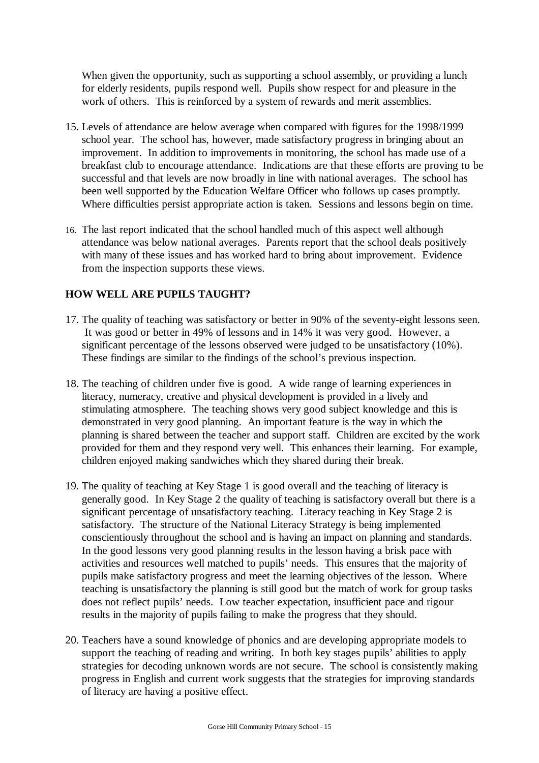When given the opportunity, such as supporting a school assembly, or providing a lunch for elderly residents, pupils respond well. Pupils show respect for and pleasure in the work of others. This is reinforced by a system of rewards and merit assemblies.

- 15. Levels of attendance are below average when compared with figures for the 1998/1999 school year. The school has, however, made satisfactory progress in bringing about an improvement. In addition to improvements in monitoring, the school has made use of a breakfast club to encourage attendance. Indications are that these efforts are proving to be successful and that levels are now broadly in line with national averages. The school has been well supported by the Education Welfare Officer who follows up cases promptly. Where difficulties persist appropriate action is taken. Sessions and lessons begin on time.
- 16. The last report indicated that the school handled much of this aspect well although attendance was below national averages. Parents report that the school deals positively with many of these issues and has worked hard to bring about improvement. Evidence from the inspection supports these views.

## **HOW WELL ARE PUPILS TAUGHT?**

- 17. The quality of teaching was satisfactory or better in 90% of the seventy-eight lessons seen. It was good or better in 49% of lessons and in 14% it was very good. However, a significant percentage of the lessons observed were judged to be unsatisfactory (10%). These findings are similar to the findings of the school's previous inspection.
- 18. The teaching of children under five is good. A wide range of learning experiences in literacy, numeracy, creative and physical development is provided in a lively and stimulating atmosphere. The teaching shows very good subject knowledge and this is demonstrated in very good planning. An important feature is the way in which the planning is shared between the teacher and support staff. Children are excited by the work provided for them and they respond very well. This enhances their learning. For example, children enjoyed making sandwiches which they shared during their break.
- 19. The quality of teaching at Key Stage 1 is good overall and the teaching of literacy is generally good. In Key Stage 2 the quality of teaching is satisfactory overall but there is a significant percentage of unsatisfactory teaching. Literacy teaching in Key Stage 2 is satisfactory. The structure of the National Literacy Strategy is being implemented conscientiously throughout the school and is having an impact on planning and standards. In the good lessons very good planning results in the lesson having a brisk pace with activities and resources well matched to pupils' needs. This ensures that the majority of pupils make satisfactory progress and meet the learning objectives of the lesson. Where teaching is unsatisfactory the planning is still good but the match of work for group tasks does not reflect pupils' needs. Low teacher expectation, insufficient pace and rigour results in the majority of pupils failing to make the progress that they should.
- 20. Teachers have a sound knowledge of phonics and are developing appropriate models to support the teaching of reading and writing. In both key stages pupils' abilities to apply strategies for decoding unknown words are not secure. The school is consistently making progress in English and current work suggests that the strategies for improving standards of literacy are having a positive effect.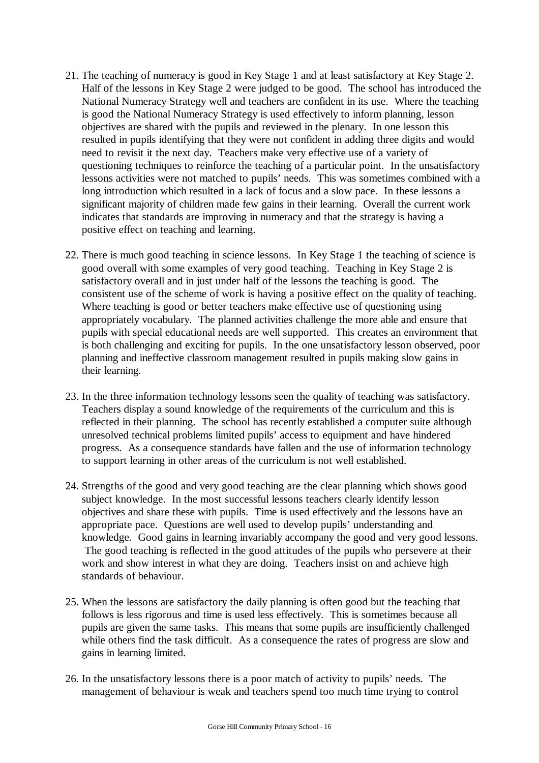- 21. The teaching of numeracy is good in Key Stage 1 and at least satisfactory at Key Stage 2. Half of the lessons in Key Stage 2 were judged to be good. The school has introduced the National Numeracy Strategy well and teachers are confident in its use. Where the teaching is good the National Numeracy Strategy is used effectively to inform planning, lesson objectives are shared with the pupils and reviewed in the plenary. In one lesson this resulted in pupils identifying that they were not confident in adding three digits and would need to revisit it the next day. Teachers make very effective use of a variety of questioning techniques to reinforce the teaching of a particular point. In the unsatisfactory lessons activities were not matched to pupils' needs. This was sometimes combined with a long introduction which resulted in a lack of focus and a slow pace. In these lessons a significant majority of children made few gains in their learning. Overall the current work indicates that standards are improving in numeracy and that the strategy is having a positive effect on teaching and learning.
- 22. There is much good teaching in science lessons. In Key Stage 1 the teaching of science is good overall with some examples of very good teaching. Teaching in Key Stage 2 is satisfactory overall and in just under half of the lessons the teaching is good. The consistent use of the scheme of work is having a positive effect on the quality of teaching. Where teaching is good or better teachers make effective use of questioning using appropriately vocabulary. The planned activities challenge the more able and ensure that pupils with special educational needs are well supported. This creates an environment that is both challenging and exciting for pupils. In the one unsatisfactory lesson observed, poor planning and ineffective classroom management resulted in pupils making slow gains in their learning.
- 23. In the three information technology lessons seen the quality of teaching was satisfactory. Teachers display a sound knowledge of the requirements of the curriculum and this is reflected in their planning. The school has recently established a computer suite although unresolved technical problems limited pupils' access to equipment and have hindered progress. As a consequence standards have fallen and the use of information technology to support learning in other areas of the curriculum is not well established.
- 24. Strengths of the good and very good teaching are the clear planning which shows good subject knowledge. In the most successful lessons teachers clearly identify lesson objectives and share these with pupils. Time is used effectively and the lessons have an appropriate pace. Questions are well used to develop pupils' understanding and knowledge. Good gains in learning invariably accompany the good and very good lessons. The good teaching is reflected in the good attitudes of the pupils who persevere at their work and show interest in what they are doing. Teachers insist on and achieve high standards of behaviour.
- 25. When the lessons are satisfactory the daily planning is often good but the teaching that follows is less rigorous and time is used less effectively. This is sometimes because all pupils are given the same tasks. This means that some pupils are insufficiently challenged while others find the task difficult. As a consequence the rates of progress are slow and gains in learning limited.
- 26. In the unsatisfactory lessons there is a poor match of activity to pupils' needs. The management of behaviour is weak and teachers spend too much time trying to control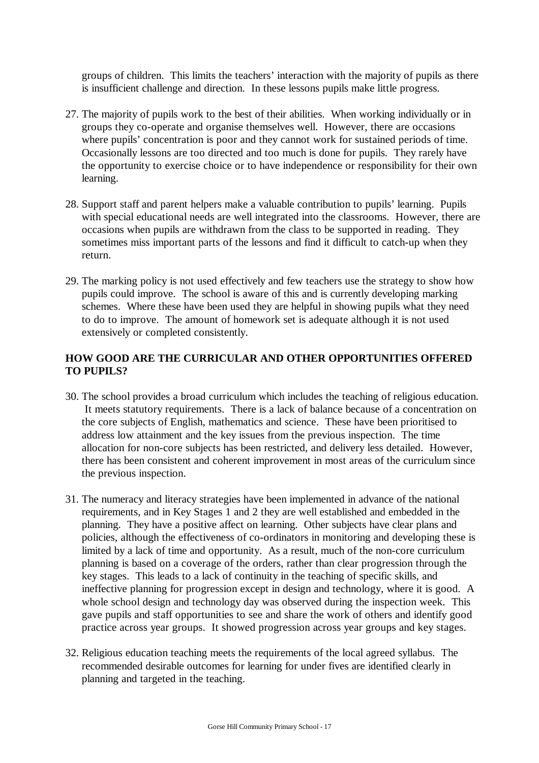groups of children. This limits the teachers' interaction with the majority of pupils as there is insufficient challenge and direction. In these lessons pupils make little progress.

- 27. The majority of pupils work to the best of their abilities. When working individually or in groups they co-operate and organise themselves well. However, there are occasions where pupils' concentration is poor and they cannot work for sustained periods of time. Occasionally lessons are too directed and too much is done for pupils. They rarely have the opportunity to exercise choice or to have independence or responsibility for their own learning.
- 28. Support staff and parent helpers make a valuable contribution to pupils' learning. Pupils with special educational needs are well integrated into the classrooms. However, there are occasions when pupils are withdrawn from the class to be supported in reading. They sometimes miss important parts of the lessons and find it difficult to catch-up when they return.
- 29. The marking policy is not used effectively and few teachers use the strategy to show how pupils could improve. The school is aware of this and is currently developing marking schemes. Where these have been used they are helpful in showing pupils what they need to do to improve. The amount of homework set is adequate although it is not used extensively or completed consistently.

## **HOW GOOD ARE THE CURRICULAR AND OTHER OPPORTUNITIES OFFERED TO PUPILS?**

- 30. The school provides a broad curriculum which includes the teaching of religious education. It meets statutory requirements. There is a lack of balance because of a concentration on the core subjects of English, mathematics and science. These have been prioritised to address low attainment and the key issues from the previous inspection. The time allocation for non-core subjects has been restricted, and delivery less detailed. However, there has been consistent and coherent improvement in most areas of the curriculum since the previous inspection.
- 31. The numeracy and literacy strategies have been implemented in advance of the national requirements, and in Key Stages 1 and 2 they are well established and embedded in the planning. They have a positive affect on learning. Other subjects have clear plans and policies, although the effectiveness of co-ordinators in monitoring and developing these is limited by a lack of time and opportunity. As a result, much of the non-core curriculum planning is based on a coverage of the orders, rather than clear progression through the key stages. This leads to a lack of continuity in the teaching of specific skills, and ineffective planning for progression except in design and technology, where it is good. A whole school design and technology day was observed during the inspection week. This gave pupils and staff opportunities to see and share the work of others and identify good practice across year groups. It showed progression across year groups and key stages.
- 32. Religious education teaching meets the requirements of the local agreed syllabus. The recommended desirable outcomes for learning for under fives are identified clearly in planning and targeted in the teaching.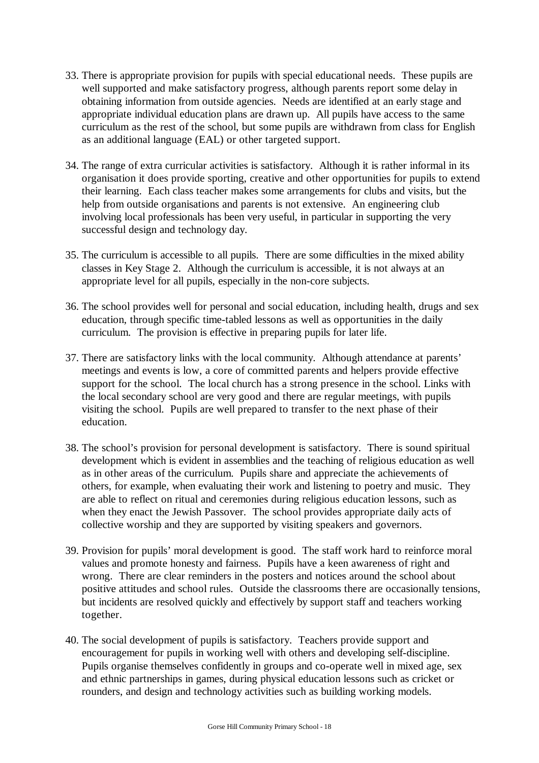- 33. There is appropriate provision for pupils with special educational needs. These pupils are well supported and make satisfactory progress, although parents report some delay in obtaining information from outside agencies. Needs are identified at an early stage and appropriate individual education plans are drawn up. All pupils have access to the same curriculum as the rest of the school, but some pupils are withdrawn from class for English as an additional language (EAL) or other targeted support.
- 34. The range of extra curricular activities is satisfactory. Although it is rather informal in its organisation it does provide sporting, creative and other opportunities for pupils to extend their learning. Each class teacher makes some arrangements for clubs and visits, but the help from outside organisations and parents is not extensive. An engineering club involving local professionals has been very useful, in particular in supporting the very successful design and technology day.
- 35. The curriculum is accessible to all pupils. There are some difficulties in the mixed ability classes in Key Stage 2. Although the curriculum is accessible, it is not always at an appropriate level for all pupils, especially in the non-core subjects.
- 36. The school provides well for personal and social education, including health, drugs and sex education, through specific time-tabled lessons as well as opportunities in the daily curriculum. The provision is effective in preparing pupils for later life.
- 37. There are satisfactory links with the local community. Although attendance at parents' meetings and events is low, a core of committed parents and helpers provide effective support for the school. The local church has a strong presence in the school. Links with the local secondary school are very good and there are regular meetings, with pupils visiting the school. Pupils are well prepared to transfer to the next phase of their education.
- 38. The school's provision for personal development is satisfactory. There is sound spiritual development which is evident in assemblies and the teaching of religious education as well as in other areas of the curriculum. Pupils share and appreciate the achievements of others, for example, when evaluating their work and listening to poetry and music. They are able to reflect on ritual and ceremonies during religious education lessons, such as when they enact the Jewish Passover. The school provides appropriate daily acts of collective worship and they are supported by visiting speakers and governors.
- 39. Provision for pupils' moral development is good. The staff work hard to reinforce moral values and promote honesty and fairness. Pupils have a keen awareness of right and wrong. There are clear reminders in the posters and notices around the school about positive attitudes and school rules. Outside the classrooms there are occasionally tensions, but incidents are resolved quickly and effectively by support staff and teachers working together.
- 40. The social development of pupils is satisfactory. Teachers provide support and encouragement for pupils in working well with others and developing self-discipline. Pupils organise themselves confidently in groups and co-operate well in mixed age, sex and ethnic partnerships in games, during physical education lessons such as cricket or rounders, and design and technology activities such as building working models.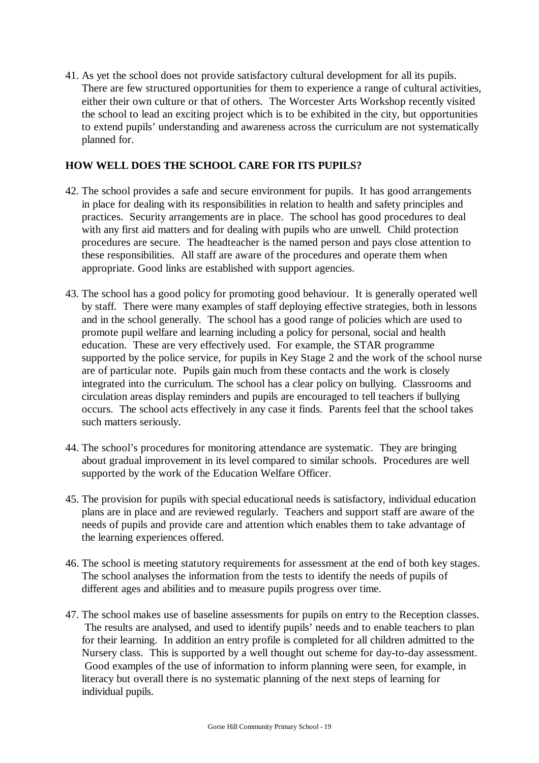41. As yet the school does not provide satisfactory cultural development for all its pupils. There are few structured opportunities for them to experience a range of cultural activities, either their own culture or that of others. The Worcester Arts Workshop recently visited the school to lead an exciting project which is to be exhibited in the city, but opportunities to extend pupils' understanding and awareness across the curriculum are not systematically planned for.

## **HOW WELL DOES THE SCHOOL CARE FOR ITS PUPILS?**

- 42. The school provides a safe and secure environment for pupils. It has good arrangements in place for dealing with its responsibilities in relation to health and safety principles and practices. Security arrangements are in place. The school has good procedures to deal with any first aid matters and for dealing with pupils who are unwell. Child protection procedures are secure. The headteacher is the named person and pays close attention to these responsibilities. All staff are aware of the procedures and operate them when appropriate. Good links are established with support agencies.
- 43. The school has a good policy for promoting good behaviour. It is generally operated well by staff. There were many examples of staff deploying effective strategies, both in lessons and in the school generally. The school has a good range of policies which are used to promote pupil welfare and learning including a policy for personal, social and health education. These are very effectively used. For example, the STAR programme supported by the police service, for pupils in Key Stage 2 and the work of the school nurse are of particular note. Pupils gain much from these contacts and the work is closely integrated into the curriculum. The school has a clear policy on bullying. Classrooms and circulation areas display reminders and pupils are encouraged to tell teachers if bullying occurs. The school acts effectively in any case it finds. Parents feel that the school takes such matters seriously.
- 44. The school's procedures for monitoring attendance are systematic. They are bringing about gradual improvement in its level compared to similar schools. Procedures are well supported by the work of the Education Welfare Officer.
- 45. The provision for pupils with special educational needs is satisfactory, individual education plans are in place and are reviewed regularly. Teachers and support staff are aware of the needs of pupils and provide care and attention which enables them to take advantage of the learning experiences offered.
- 46. The school is meeting statutory requirements for assessment at the end of both key stages. The school analyses the information from the tests to identify the needs of pupils of different ages and abilities and to measure pupils progress over time.
- 47. The school makes use of baseline assessments for pupils on entry to the Reception classes. The results are analysed, and used to identify pupils' needs and to enable teachers to plan for their learning. In addition an entry profile is completed for all children admitted to the Nursery class. This is supported by a well thought out scheme for day-to-day assessment. Good examples of the use of information to inform planning were seen, for example, in literacy but overall there is no systematic planning of the next steps of learning for individual pupils.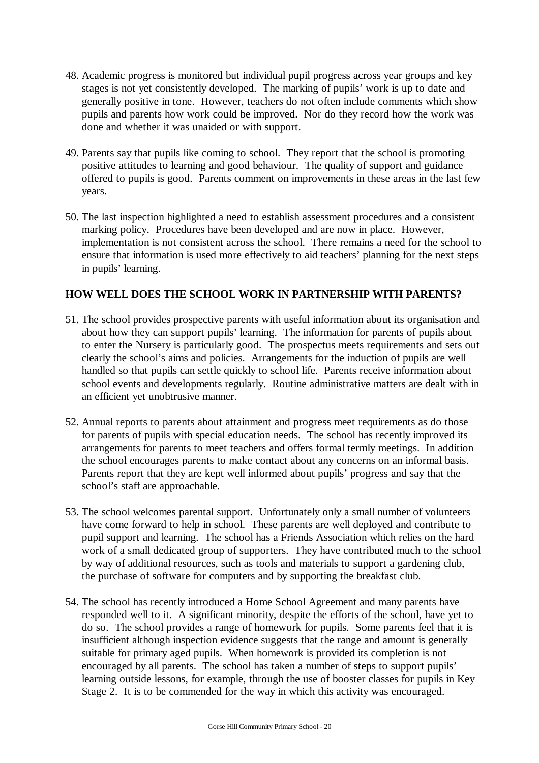- 48. Academic progress is monitored but individual pupil progress across year groups and key stages is not yet consistently developed. The marking of pupils' work is up to date and generally positive in tone. However, teachers do not often include comments which show pupils and parents how work could be improved. Nor do they record how the work was done and whether it was unaided or with support.
- 49. Parents say that pupils like coming to school. They report that the school is promoting positive attitudes to learning and good behaviour. The quality of support and guidance offered to pupils is good. Parents comment on improvements in these areas in the last few years.
- 50. The last inspection highlighted a need to establish assessment procedures and a consistent marking policy. Procedures have been developed and are now in place. However, implementation is not consistent across the school. There remains a need for the school to ensure that information is used more effectively to aid teachers' planning for the next steps in pupils' learning.

## **HOW WELL DOES THE SCHOOL WORK IN PARTNERSHIP WITH PARENTS?**

- 51. The school provides prospective parents with useful information about its organisation and about how they can support pupils' learning. The information for parents of pupils about to enter the Nursery is particularly good. The prospectus meets requirements and sets out clearly the school's aims and policies. Arrangements for the induction of pupils are well handled so that pupils can settle quickly to school life. Parents receive information about school events and developments regularly. Routine administrative matters are dealt with in an efficient yet unobtrusive manner.
- 52. Annual reports to parents about attainment and progress meet requirements as do those for parents of pupils with special education needs. The school has recently improved its arrangements for parents to meet teachers and offers formal termly meetings. In addition the school encourages parents to make contact about any concerns on an informal basis. Parents report that they are kept well informed about pupils' progress and say that the school's staff are approachable.
- 53. The school welcomes parental support. Unfortunately only a small number of volunteers have come forward to help in school. These parents are well deployed and contribute to pupil support and learning. The school has a Friends Association which relies on the hard work of a small dedicated group of supporters. They have contributed much to the school by way of additional resources, such as tools and materials to support a gardening club, the purchase of software for computers and by supporting the breakfast club.
- 54. The school has recently introduced a Home School Agreement and many parents have responded well to it. A significant minority, despite the efforts of the school, have yet to do so. The school provides a range of homework for pupils. Some parents feel that it is insufficient although inspection evidence suggests that the range and amount is generally suitable for primary aged pupils. When homework is provided its completion is not encouraged by all parents. The school has taken a number of steps to support pupils' learning outside lessons, for example, through the use of booster classes for pupils in Key Stage 2. It is to be commended for the way in which this activity was encouraged.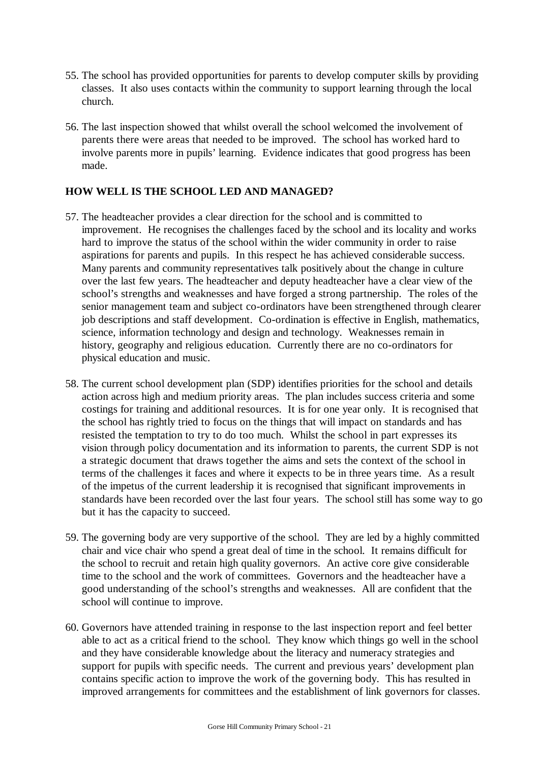- 55. The school has provided opportunities for parents to develop computer skills by providing classes. It also uses contacts within the community to support learning through the local church.
- 56. The last inspection showed that whilst overall the school welcomed the involvement of parents there were areas that needed to be improved. The school has worked hard to involve parents more in pupils' learning. Evidence indicates that good progress has been made.

## **HOW WELL IS THE SCHOOL LED AND MANAGED?**

- 57. The headteacher provides a clear direction for the school and is committed to improvement. He recognises the challenges faced by the school and its locality and works hard to improve the status of the school within the wider community in order to raise aspirations for parents and pupils. In this respect he has achieved considerable success. Many parents and community representatives talk positively about the change in culture over the last few years. The headteacher and deputy headteacher have a clear view of the school's strengths and weaknesses and have forged a strong partnership. The roles of the senior management team and subject co-ordinators have been strengthened through clearer job descriptions and staff development. Co-ordination is effective in English, mathematics, science, information technology and design and technology. Weaknesses remain in history, geography and religious education. Currently there are no co-ordinators for physical education and music.
- 58. The current school development plan (SDP) identifies priorities for the school and details action across high and medium priority areas. The plan includes success criteria and some costings for training and additional resources. It is for one year only. It is recognised that the school has rightly tried to focus on the things that will impact on standards and has resisted the temptation to try to do too much. Whilst the school in part expresses its vision through policy documentation and its information to parents, the current SDP is not a strategic document that draws together the aims and sets the context of the school in terms of the challenges it faces and where it expects to be in three years time. As a result of the impetus of the current leadership it is recognised that significant improvements in standards have been recorded over the last four years. The school still has some way to go but it has the capacity to succeed.
- 59. The governing body are very supportive of the school. They are led by a highly committed chair and vice chair who spend a great deal of time in the school. It remains difficult for the school to recruit and retain high quality governors. An active core give considerable time to the school and the work of committees. Governors and the headteacher have a good understanding of the school's strengths and weaknesses. All are confident that the school will continue to improve.
- 60. Governors have attended training in response to the last inspection report and feel better able to act as a critical friend to the school. They know which things go well in the school and they have considerable knowledge about the literacy and numeracy strategies and support for pupils with specific needs. The current and previous years' development plan contains specific action to improve the work of the governing body. This has resulted in improved arrangements for committees and the establishment of link governors for classes.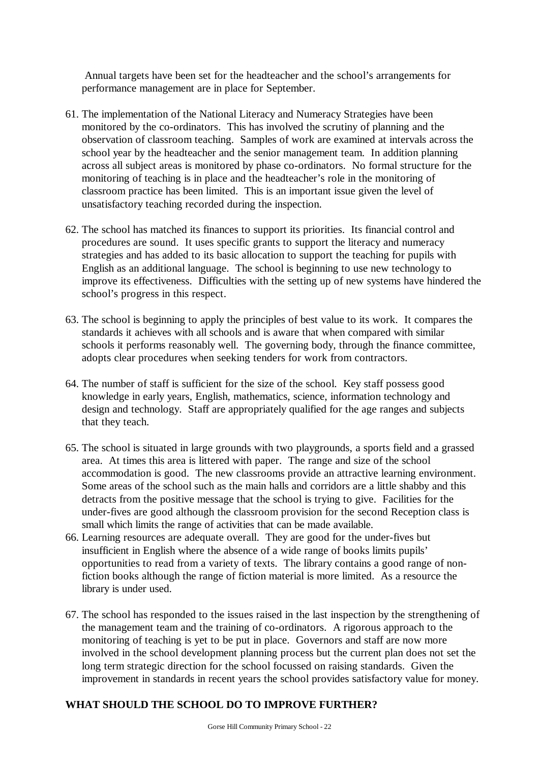Annual targets have been set for the headteacher and the school's arrangements for performance management are in place for September.

- 61. The implementation of the National Literacy and Numeracy Strategies have been monitored by the co-ordinators. This has involved the scrutiny of planning and the observation of classroom teaching. Samples of work are examined at intervals across the school year by the headteacher and the senior management team. In addition planning across all subject areas is monitored by phase co-ordinators. No formal structure for the monitoring of teaching is in place and the headteacher's role in the monitoring of classroom practice has been limited. This is an important issue given the level of unsatisfactory teaching recorded during the inspection.
- 62. The school has matched its finances to support its priorities. Its financial control and procedures are sound. It uses specific grants to support the literacy and numeracy strategies and has added to its basic allocation to support the teaching for pupils with English as an additional language. The school is beginning to use new technology to improve its effectiveness. Difficulties with the setting up of new systems have hindered the school's progress in this respect.
- 63. The school is beginning to apply the principles of best value to its work. It compares the standards it achieves with all schools and is aware that when compared with similar schools it performs reasonably well. The governing body, through the finance committee, adopts clear procedures when seeking tenders for work from contractors.
- 64. The number of staff is sufficient for the size of the school. Key staff possess good knowledge in early years, English, mathematics, science, information technology and design and technology. Staff are appropriately qualified for the age ranges and subjects that they teach.
- 65. The school is situated in large grounds with two playgrounds, a sports field and a grassed area. At times this area is littered with paper. The range and size of the school accommodation is good. The new classrooms provide an attractive learning environment. Some areas of the school such as the main halls and corridors are a little shabby and this detracts from the positive message that the school is trying to give. Facilities for the under-fives are good although the classroom provision for the second Reception class is small which limits the range of activities that can be made available.
- 66. Learning resources are adequate overall. They are good for the under-fives but insufficient in English where the absence of a wide range of books limits pupils' opportunities to read from a variety of texts. The library contains a good range of nonfiction books although the range of fiction material is more limited. As a resource the library is under used.
- 67. The school has responded to the issues raised in the last inspection by the strengthening of the management team and the training of co-ordinators. A rigorous approach to the monitoring of teaching is yet to be put in place. Governors and staff are now more involved in the school development planning process but the current plan does not set the long term strategic direction for the school focussed on raising standards. Given the improvement in standards in recent years the school provides satisfactory value for money.

# **WHAT SHOULD THE SCHOOL DO TO IMPROVE FURTHER?**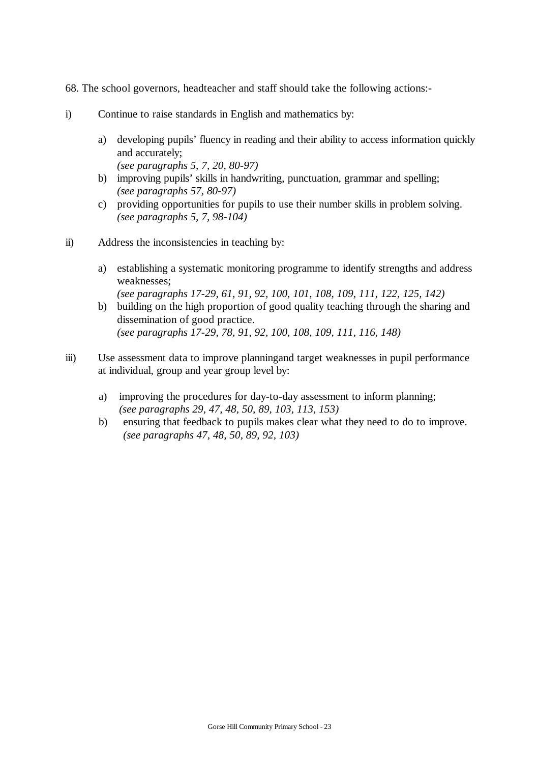- 68. The school governors, headteacher and staff should take the following actions:-
- i) Continue to raise standards in English and mathematics by:
	- a) developing pupils' fluency in reading and their ability to access information quickly and accurately; *(see paragraphs 5, 7, 20, 80-97)*
	- b) improving pupils' skills in handwriting, punctuation, grammar and spelling; *(see paragraphs 57, 80-97)*
	- c) providing opportunities for pupils to use their number skills in problem solving. *(see paragraphs 5, 7, 98-104)*
- ii) Address the inconsistencies in teaching by:
	- a) establishing a systematic monitoring programme to identify strengths and address weaknesses; *(see paragraphs 17-29, 61, 91, 92, 100, 101, 108, 109, 111, 122, 125, 142)*
	- b) building on the high proportion of good quality teaching through the sharing and dissemination of good practice. *(see paragraphs 17-29, 78, 91, 92, 100, 108, 109, 111, 116, 148)*
- iii) Use assessment data to improve planning and target weaknesses in pupil performance at individual, group and year group level by:
	- a) improving the procedures for day-to-day assessment to inform planning; *(see paragraphs 29, 47, 48, 50, 89, 103, 113, 153)*
	- b) ensuring that feedback to pupils makes clear what they need to do to improve. *(see paragraphs 47, 48, 50, 89, 92, 103)*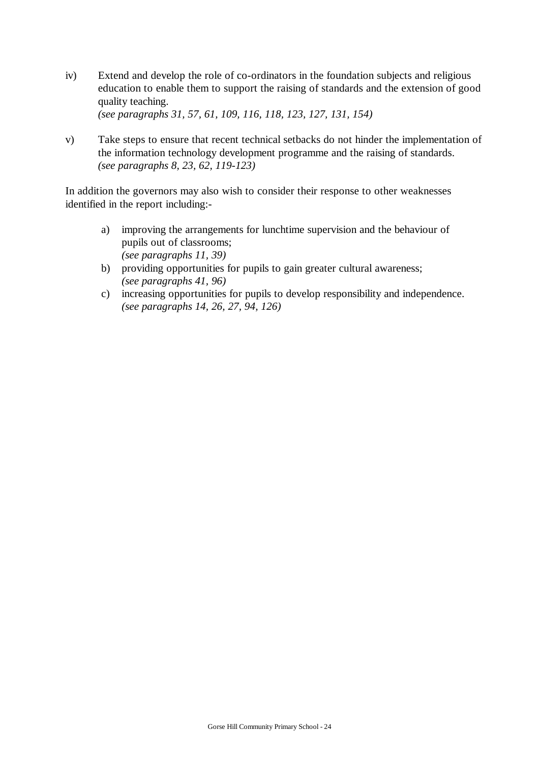- iv) Extend and develop the role of co-ordinators in the foundation subjects and religious education to enable them to support the raising of standards and the extension of good quality teaching. *(see paragraphs 31, 57, 61, 109, 116, 118, 123, 127, 131, 154)*
- v) Take steps to ensure that recent technical setbacks do not hinder the implementation of the information technology development programme and the raising of standards. *(see paragraphs 8, 23, 62, 119-123)*

In addition the governors may also wish to consider their response to other weaknesses identified in the report including:-

- a) improving the arrangements for lunchtime supervision and the behaviour of pupils out of classrooms; *(see paragraphs 11, 39)*
- b) providing opportunities for pupils to gain greater cultural awareness; *(see paragraphs 41, 96)*
- c) increasing opportunities for pupils to develop responsibility and independence. *(see paragraphs 14, 26, 27, 94, 126)*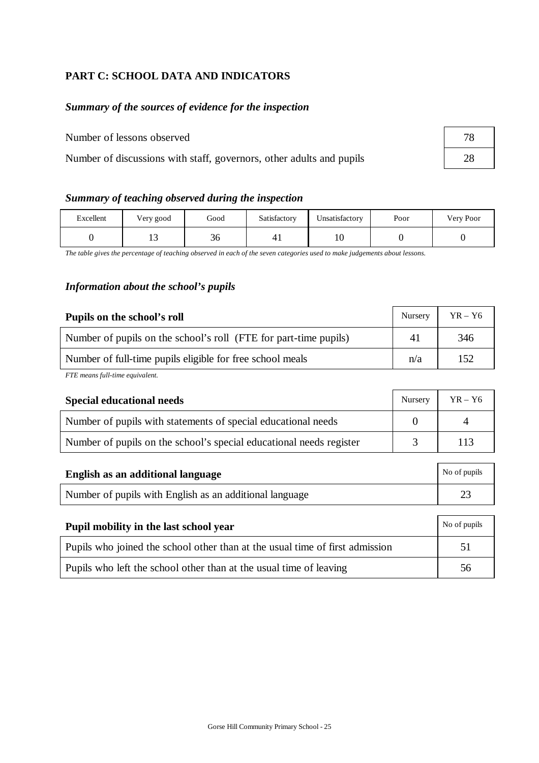## **PART C: SCHOOL DATA AND INDICATORS**

# *Summary of the sources of evidence for the inspection*

Number of lessons observed 78

Number of discussions with staff, governors, other adults and pupils 28

| Summary of teaching observed during the inspection |  |  |  |  |  |
|----------------------------------------------------|--|--|--|--|--|
|----------------------------------------------------|--|--|--|--|--|

| Excellent | Very good         | Good     | Satisfactory | Unsatisfactory | Poor | Very Poor |
|-----------|-------------------|----------|--------------|----------------|------|-----------|
|           | $\sqrt{2}$<br>⊥ J | σ.<br>30 |              | 10             |      |           |

*The table gives the percentage of teaching observed in each of the seven categories used to make judgements about lessons.*

## *Information about the school's pupils*

| Pupils on the school's roll                                      | Nursery | $YR - Y6$ |
|------------------------------------------------------------------|---------|-----------|
| Number of pupils on the school's roll (FTE for part-time pupils) | 41      | 346       |
| Number of full-time pupils eligible for free school meals        | n/a     | 152       |

*FTE means full-time equivalent.*

| <b>Special educational needs</b>                                    | <b>Nursery</b> | $YR - Y6$ |
|---------------------------------------------------------------------|----------------|-----------|
| Number of pupils with statements of special educational needs       |                |           |
| Number of pupils on the school's special educational needs register |                | 113       |
|                                                                     |                |           |

| No of pupils<br>English as an additional language       |  |  |
|---------------------------------------------------------|--|--|
| Number of pupils with English as an additional language |  |  |

| Pupil mobility in the last school year                                       | No of pupils |
|------------------------------------------------------------------------------|--------------|
| Pupils who joined the school other than at the usual time of first admission | 51           |
| Pupils who left the school other than at the usual time of leaving           | 56           |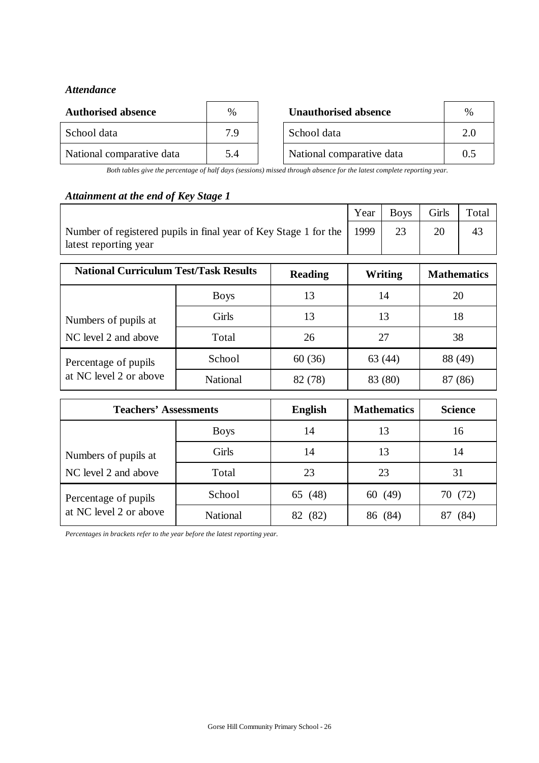## *Attendance*

| <b>Authorised absence</b> | $\%$ | <b>Unauthorised absence</b> | $\frac{0}{0}$ |
|---------------------------|------|-----------------------------|---------------|
| School data               | 7 Q  | School data                 | 2.0           |
| National comparative data | 5.4  | National comparative data   | 0.5           |

*Both tables give the percentage of half days (sessions) missed through absence for the latest complete reporting year.*

## *Attainment at the end of Key Stage 1*

|                                                                                                    | Year | Boys | Girls | Total |
|----------------------------------------------------------------------------------------------------|------|------|-------|-------|
| Number of registered pupils in final year of Key Stage 1 for the   1999  <br>latest reporting year |      |      |       |       |

| <b>National Curriculum Test/Task Results</b> |                 | <b>Reading</b> | Writing | <b>Mathematics</b> |
|----------------------------------------------|-----------------|----------------|---------|--------------------|
|                                              | <b>Boys</b>     | 13             | 14      | 20                 |
| Numbers of pupils at                         | Girls           | 13             | 13      | 18                 |
| NC level 2 and above                         | Total           | 26             | 27      | 38                 |
| Percentage of pupils                         | School          | 60(36)         | 63(44)  | 88 (49)            |
| at NC level 2 or above                       | <b>National</b> | 82 (78)        | 83 (80) | (86)               |

| <b>Teachers' Assessments</b> |                 | <b>English</b> | <b>Mathematics</b> | <b>Science</b> |
|------------------------------|-----------------|----------------|--------------------|----------------|
|                              | <b>Boys</b>     | 14             | 13                 | 16             |
| Numbers of pupils at         | Girls           | 14             | 13                 | 14             |
| NC level 2 and above         | Total           | 23             | 23                 | 31             |
| Percentage of pupils         | School          | 65 (48)        | 60 (49)            | 70 (72)        |
| at NC level 2 or above       | <b>National</b> | (82)<br>82     | (84)<br>86         | 84)            |

*Percentages in brackets refer to the year before the latest reporting year.*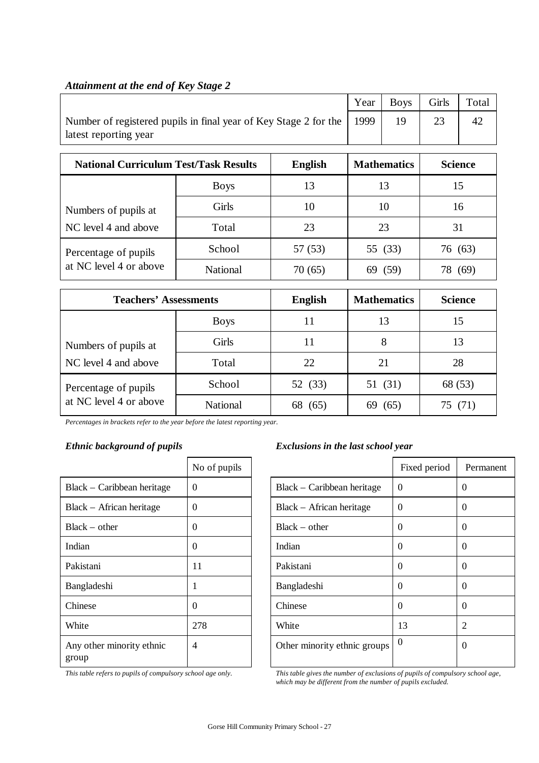|                                                                                           | Year | <b>Boys</b> | Girls | Total |
|-------------------------------------------------------------------------------------------|------|-------------|-------|-------|
| Number of registered pupils in final year of Key Stage 2 for the<br>latest reporting year | 1999 |             |       | 42    |

## *Attainment at the end of Key Stage 2*

| <b>National Curriculum Test/Task Results</b> |                 | <b>English</b> | <b>Mathematics</b> | <b>Science</b> |
|----------------------------------------------|-----------------|----------------|--------------------|----------------|
|                                              | <b>Boys</b>     | 13             | 13                 | 15             |
| Numbers of pupils at                         | Girls           | 10             | 10                 | 16             |
| NC level 4 and above                         | Total           | 23             | 23                 | 31             |
| Percentage of pupils                         | School          | 57 (53)        | 55 (33)            | 76 (63)        |
| at NC level 4 or above                       | <b>National</b> | 70 (65)        | (59)               | 69             |

| <b>Teachers' Assessments</b>  |                 | <b>English</b> | <b>Mathematics</b> | <b>Science</b> |
|-------------------------------|-----------------|----------------|--------------------|----------------|
|                               | <b>Boys</b>     | 11             | 13                 | 15             |
| Numbers of pupils at          | Girls           | 11             | 8                  | 13             |
| NC level 4 and above<br>Total |                 | 22             | 21                 | 28             |
| Percentage of pupils          | School          | 52 (33)        | 51 (31)            | 68 (53)        |
| at NC level 4 or above        | <b>National</b> | 68<br>(65)     | (65)<br>69         | (71)<br>15     |

*Percentages in brackets refer to the year before the latest reporting year.*

|                                    | No of pupils |
|------------------------------------|--------------|
| Black – Caribbean heritage         | 0            |
| $Black - African heritage$         | 0            |
| $Black - other$                    | 0            |
| Indian                             | 0            |
| Pakistani                          | 11           |
| Bangladeshi                        | 1            |
| Chinese                            | 0            |
| White                              | 278          |
| Any other minority ethnic<br>group | 4            |

## *Ethnic background of pupils Exclusions in the last school year*

|                                    | No of pupils   |                              | Fixed period | Permanent    |
|------------------------------------|----------------|------------------------------|--------------|--------------|
| Black - Caribbean heritage         | $\Omega$       | Black – Caribbean heritage   | $\Omega$     | $\theta$     |
| Black - African heritage           | $\Omega$       | Black – African heritage     | $\Omega$     | $\Omega$     |
| Black – other                      | $\Omega$       | $Black - other$              | $\Omega$     | $\Omega$     |
| Indian                             | $\Omega$       | Indian                       | $\Omega$     | $\Omega$     |
| Pakistani                          | 11             | Pakistani                    | $\Omega$     | $\Omega$     |
| Bangladeshi                        |                | Bangladeshi                  | $\Omega$     | $\Omega$     |
| Chinese                            | $\Omega$       | Chinese                      | $\Omega$     | $\Omega$     |
| White                              | 278            | White                        | 13           | 2            |
| Any other minority ethnic<br>group | $\overline{4}$ | Other minority ethnic groups | $\mathbf 0$  | $\mathbf{0}$ |

*This table refers to pupils of compulsory school age only. This table gives the number of exclusions of pupils of compulsory school age, which may be different from the number of pupils excluded.*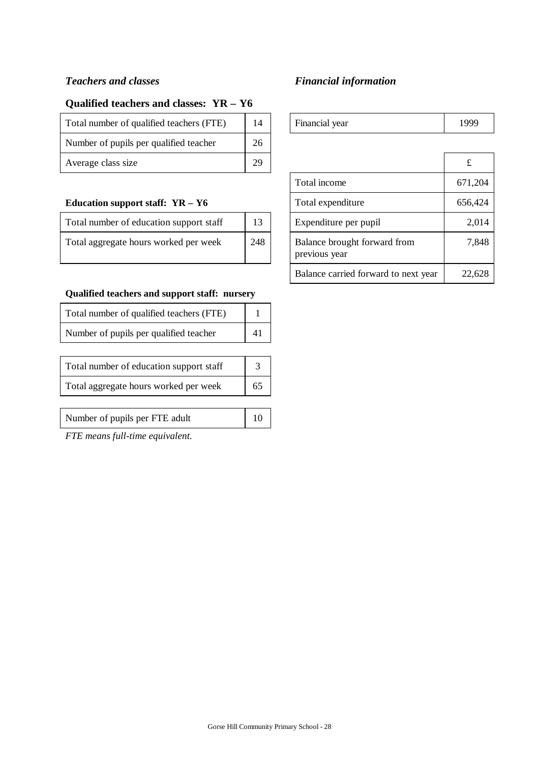# *Teachers and classes Financial information*

## **Qualified teachers and classes: YR – Y6**

| Total number of qualified teachers (FTE) | 14 | Financial year | 1999 |
|------------------------------------------|----|----------------|------|
| Number of pupils per qualified teacher   | 26 |                |      |
| Average class size                       | 29 |                |      |

#### **Education support staff: YR - Y6**

| Total number of education support staff | 13  | Expenditure per pupil                         | 2,014 |
|-----------------------------------------|-----|-----------------------------------------------|-------|
| Total aggregate hours worked per week   | 248 | Balance brought forward from<br>previous year | 7,848 |

## **Qualified teachers and support staff: nursery**

| Total number of qualified teachers (FTE) |  |
|------------------------------------------|--|
| Number of pupils per qualified teacher   |  |
|                                          |  |
| Total number of education support staff  |  |
| Total aggregate hours worked per week    |  |
|                                          |  |
| Number of pupils per FTE adult           |  |

*FTE means full-time equivalent.*

| Financial year                                | 1999    |
|-----------------------------------------------|---------|
|                                               |         |
|                                               | £       |
| Total income                                  | 671,204 |
| Total expenditure                             | 656,424 |
| Expenditure per pupil                         | 2,014   |
| Balance brought forward from<br>previous year | 7,848   |
| Balance carried forward to next year          | 22,62   |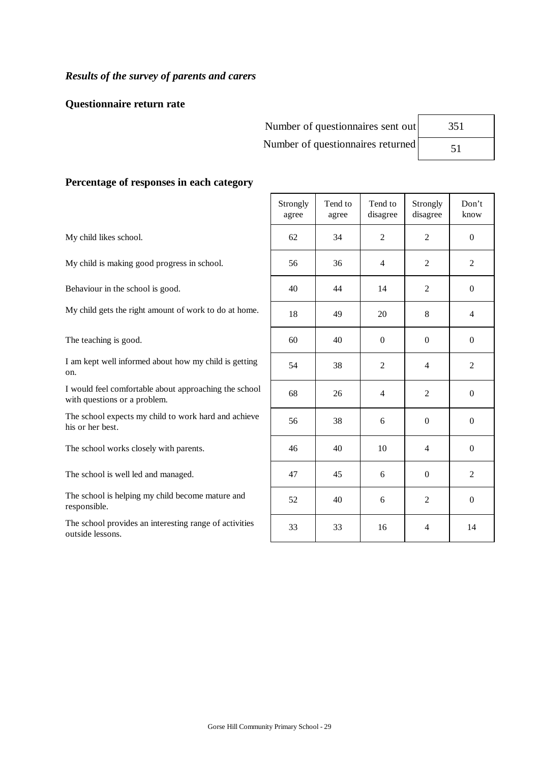## *Results of the survey of parents and carers*

#### **Questionnaire return rate**

Number of questionnaires sent out Number of questionnaires returned

| 351 |  |
|-----|--|
| 51  |  |

#### **Percentage of responses in each category**

My child likes school.

My child is making good progress in school.

Behaviour in the school is good.

My child gets the right amount of work to do at home.

The teaching is good.

I am kept well informed about how my child is getting on.

I would feel comfortable about approaching the school with questions or a problem.

The school expects my child to work hard and achieve his or her best.

The school works closely with parents.

The school is well led and managed.

The school is helping my child become mature and responsible.

The school provides an interesting range of activities outside lessons.

| Strongly<br>agree | Tend to<br>agree | Tend to<br>disagree                             | Strongly<br>disagree | Don't<br>know    |
|-------------------|------------------|-------------------------------------------------|----------------------|------------------|
| 62                | 34               | $\overline{c}$                                  | $\overline{2}$       | $\boldsymbol{0}$ |
| 56                | 36               | $\overline{4}$                                  | $\overline{c}$       | $\overline{c}$   |
| 40                | 44               | 14                                              | $\mathfrak{2}$       | $\boldsymbol{0}$ |
| 18                | 49               | 20                                              | 8                    | $\overline{4}$   |
| 60                | 40               | $\boldsymbol{0}$                                | $\boldsymbol{0}$     | $\boldsymbol{0}$ |
| 54                | 38               | $\mathfrak{2}% \left( \mathfrak{2}\right) ^{2}$ | $\overline{4}$       | $\overline{c}$   |
| 68                | 26               | $\overline{4}$                                  | $\overline{c}$       | $\boldsymbol{0}$ |
| 56                | 38               | 6                                               | $\boldsymbol{0}$     | $\boldsymbol{0}$ |
| 46                | 40               | 10                                              | $\overline{4}$       | $\boldsymbol{0}$ |
| 47                | 45               | 6                                               | $\boldsymbol{0}$     | $\overline{c}$   |
| 52                | 40               | 6                                               | $\overline{c}$       | $\boldsymbol{0}$ |
| 33                | 33               | 16                                              | $\overline{4}$       | 14               |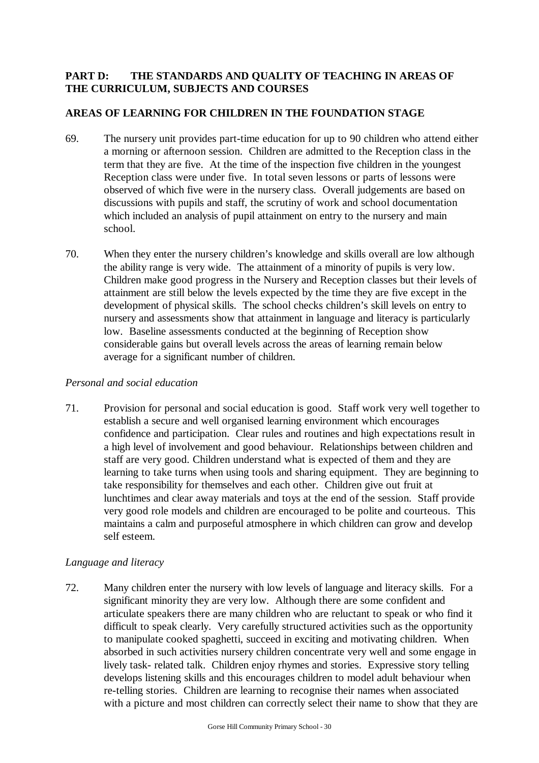## **PART D: THE STANDARDS AND QUALITY OF TEACHING IN AREAS OF THE CURRICULUM, SUBJECTS AND COURSES**

## **AREAS OF LEARNING FOR CHILDREN IN THE FOUNDATION STAGE**

- 69. The nursery unit provides part-time education for up to 90 children who attend either a morning or afternoon session. Children are admitted to the Reception class in the term that they are five. At the time of the inspection five children in the youngest Reception class were under five. In total seven lessons or parts of lessons were observed of which five were in the nursery class. Overall judgements are based on discussions with pupils and staff, the scrutiny of work and school documentation which included an analysis of pupil attainment on entry to the nursery and main school.
- 70. When they enter the nursery children's knowledge and skills overall are low although the ability range is very wide. The attainment of a minority of pupils is very low. Children make good progress in the Nursery and Reception classes but their levels of attainment are still below the levels expected by the time they are five except in the development of physical skills. The school checks children's skill levels on entry to nursery and assessments show that attainment in language and literacy is particularly low. Baseline assessments conducted at the beginning of Reception show considerable gains but overall levels across the areas of learning remain below average for a significant number of children.

#### *Personal and social education*

71. Provision for personal and social education is good. Staff work very well together to establish a secure and well organised learning environment which encourages confidence and participation. Clear rules and routines and high expectations result in a high level of involvement and good behaviour. Relationships between children and staff are very good. Children understand what is expected of them and they are learning to take turns when using tools and sharing equipment. They are beginning to take responsibility for themselves and each other. Children give out fruit at lunchtimes and clear away materials and toys at the end of the session. Staff provide very good role models and children are encouraged to be polite and courteous. This maintains a calm and purposeful atmosphere in which children can grow and develop self esteem.

#### *Language and literacy*

72. Many children enter the nursery with low levels of language and literacy skills. For a significant minority they are very low. Although there are some confident and articulate speakers there are many children who are reluctant to speak or who find it difficult to speak clearly. Very carefully structured activities such as the opportunity to manipulate cooked spaghetti, succeed in exciting and motivating children. When absorbed in such activities nursery children concentrate very well and some engage in lively task- related talk. Children enjoy rhymes and stories. Expressive story telling develops listening skills and this encourages children to model adult behaviour when re-telling stories. Children are learning to recognise their names when associated with a picture and most children can correctly select their name to show that they are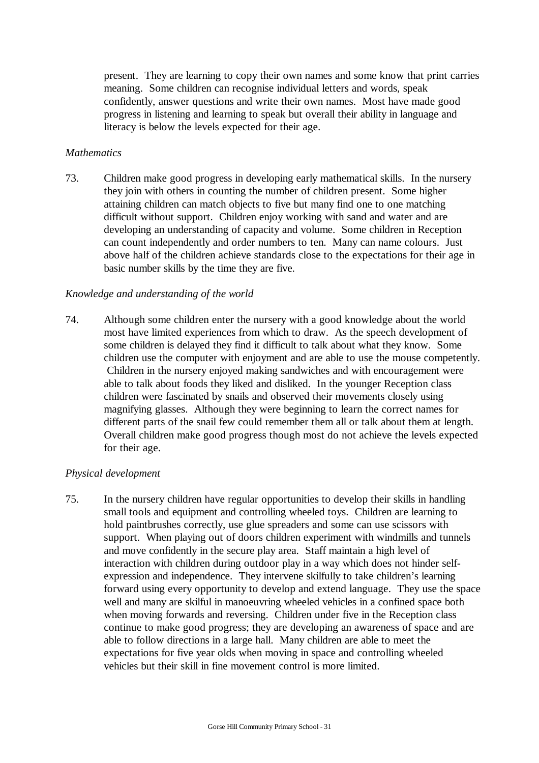present. They are learning to copy their own names and some know that print carries meaning. Some children can recognise individual letters and words, speak confidently, answer questions and write their own names. Most have made good progress in listening and learning to speak but overall their ability in language and literacy is below the levels expected for their age.

#### *Mathematics*

73. Children make good progress in developing early mathematical skills. In the nursery they join with others in counting the number of children present. Some higher attaining children can match objects to five but many find one to one matching difficult without support. Children enjoy working with sand and water and are developing an understanding of capacity and volume. Some children in Reception can count independently and order numbers to ten. Many can name colours. Just above half of the children achieve standards close to the expectations for their age in basic number skills by the time they are five.

#### *Knowledge and understanding of the world*

74. Although some children enter the nursery with a good knowledge about the world most have limited experiences from which to draw. As the speech development of some children is delayed they find it difficult to talk about what they know. Some children use the computer with enjoyment and are able to use the mouse competently. Children in the nursery enjoyed making sandwiches and with encouragement were able to talk about foods they liked and disliked. In the younger Reception class children were fascinated by snails and observed their movements closely using magnifying glasses. Although they were beginning to learn the correct names for different parts of the snail few could remember them all or talk about them at length. Overall children make good progress though most do not achieve the levels expected for their age.

#### *Physical development*

75. In the nursery children have regular opportunities to develop their skills in handling small tools and equipment and controlling wheeled toys. Children are learning to hold paintbrushes correctly, use glue spreaders and some can use scissors with support. When playing out of doors children experiment with windmills and tunnels and move confidently in the secure play area. Staff maintain a high level of interaction with children during outdoor play in a way which does not hinder selfexpression and independence. They intervene skilfully to take children's learning forward using every opportunity to develop and extend language. They use the space well and many are skilful in manoeuvring wheeled vehicles in a confined space both when moving forwards and reversing. Children under five in the Reception class continue to make good progress; they are developing an awareness of space and are able to follow directions in a large hall. Many children are able to meet the expectations for five year olds when moving in space and controlling wheeled vehicles but their skill in fine movement control is more limited.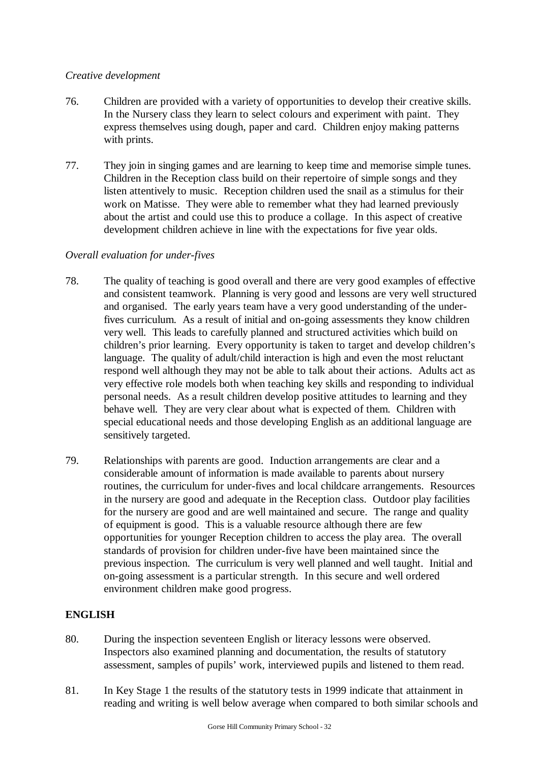#### *Creative development*

- 76. Children are provided with a variety of opportunities to develop their creative skills. In the Nursery class they learn to select colours and experiment with paint. They express themselves using dough, paper and card. Children enjoy making patterns with prints.
- 77. They join in singing games and are learning to keep time and memorise simple tunes. Children in the Reception class build on their repertoire of simple songs and they listen attentively to music. Reception children used the snail as a stimulus for their work on Matisse. They were able to remember what they had learned previously about the artist and could use this to produce a collage. In this aspect of creative development children achieve in line with the expectations for five year olds.

## *Overall evaluation for under-fives*

- 78. The quality of teaching is good overall and there are very good examples of effective and consistent teamwork. Planning is very good and lessons are very well structured and organised. The early years team have a very good understanding of the underfives curriculum. As a result of initial and on-going assessments they know children very well. This leads to carefully planned and structured activities which build on children's prior learning. Every opportunity is taken to target and develop children's language. The quality of adult/child interaction is high and even the most reluctant respond well although they may not be able to talk about their actions. Adults act as very effective role models both when teaching key skills and responding to individual personal needs. As a result children develop positive attitudes to learning and they behave well. They are very clear about what is expected of them. Children with special educational needs and those developing English as an additional language are sensitively targeted.
- 79. Relationships with parents are good. Induction arrangements are clear and a considerable amount of information is made available to parents about nursery routines, the curriculum for under-fives and local childcare arrangements. Resources in the nursery are good and adequate in the Reception class. Outdoor play facilities for the nursery are good and are well maintained and secure. The range and quality of equipment is good. This is a valuable resource although there are few opportunities for younger Reception children to access the play area. The overall standards of provision for children under-five have been maintained since the previous inspection. The curriculum is very well planned and well taught. Initial and on-going assessment is a particular strength. In this secure and well ordered environment children make good progress.

## **ENGLISH**

- 80. During the inspection seventeen English or literacy lessons were observed. Inspectors also examined planning and documentation, the results of statutory assessment, samples of pupils' work, interviewed pupils and listened to them read.
- 81. In Key Stage 1 the results of the statutory tests in 1999 indicate that attainment in reading and writing is well below average when compared to both similar schools and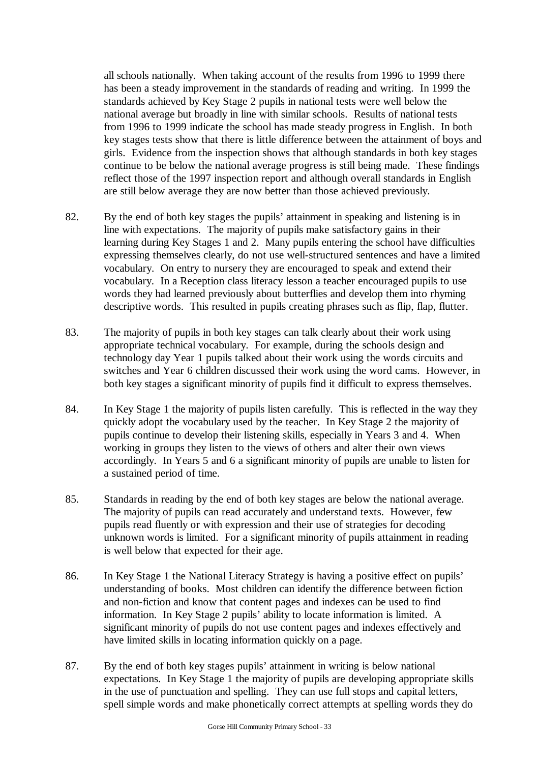all schools nationally. When taking account of the results from 1996 to 1999 there has been a steady improvement in the standards of reading and writing. In 1999 the standards achieved by Key Stage 2 pupils in national tests were well below the national average but broadly in line with similar schools. Results of national tests from 1996 to 1999 indicate the school has made steady progress in English. In both key stages tests show that there is little difference between the attainment of boys and girls. Evidence from the inspection shows that although standards in both key stages continue to be below the national average progress is still being made. These findings reflect those of the 1997 inspection report and although overall standards in English are still below average they are now better than those achieved previously.

- 82. By the end of both key stages the pupils' attainment in speaking and listening is in line with expectations. The majority of pupils make satisfactory gains in their learning during Key Stages 1 and 2. Many pupils entering the school have difficulties expressing themselves clearly, do not use well-structured sentences and have a limited vocabulary. On entry to nursery they are encouraged to speak and extend their vocabulary. In a Reception class literacy lesson a teacher encouraged pupils to use words they had learned previously about butterflies and develop them into rhyming descriptive words. This resulted in pupils creating phrases such as flip, flap, flutter.
- 83. The majority of pupils in both key stages can talk clearly about their work using appropriate technical vocabulary. For example, during the schools design and technology day Year 1 pupils talked about their work using the words circuits and switches and Year 6 children discussed their work using the word cams. However, in both key stages a significant minority of pupils find it difficult to express themselves.
- 84. In Key Stage 1 the majority of pupils listen carefully. This is reflected in the way they quickly adopt the vocabulary used by the teacher. In Key Stage 2 the majority of pupils continue to develop their listening skills, especially in Years 3 and 4. When working in groups they listen to the views of others and alter their own views accordingly. In Years 5 and 6 a significant minority of pupils are unable to listen for a sustained period of time.
- 85. Standards in reading by the end of both key stages are below the national average. The majority of pupils can read accurately and understand texts. However, few pupils read fluently or with expression and their use of strategies for decoding unknown words is limited. For a significant minority of pupils attainment in reading is well below that expected for their age.
- 86. In Key Stage 1 the National Literacy Strategy is having a positive effect on pupils' understanding of books. Most children can identify the difference between fiction and non-fiction and know that content pages and indexes can be used to find information. In Key Stage 2 pupils' ability to locate information is limited. A significant minority of pupils do not use content pages and indexes effectively and have limited skills in locating information quickly on a page.
- 87. By the end of both key stages pupils' attainment in writing is below national expectations. In Key Stage 1 the majority of pupils are developing appropriate skills in the use of punctuation and spelling. They can use full stops and capital letters, spell simple words and make phonetically correct attempts at spelling words they do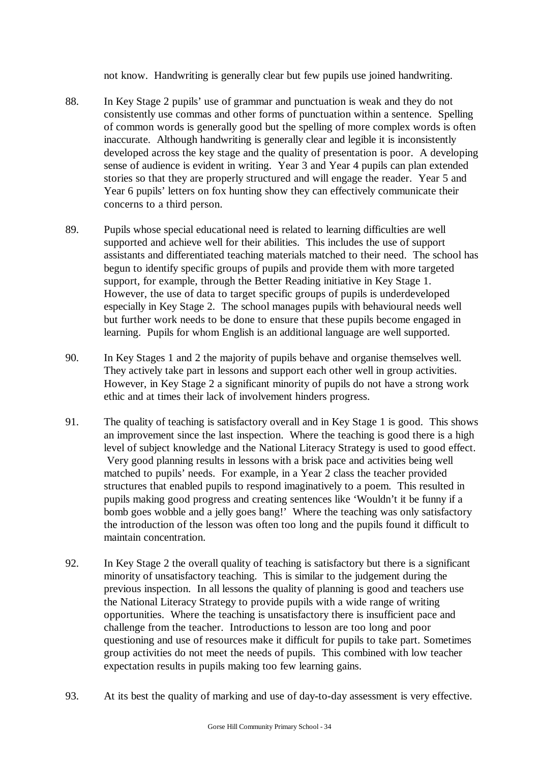not know. Handwriting is generally clear but few pupils use joined handwriting.

- 88. In Key Stage 2 pupils' use of grammar and punctuation is weak and they do not consistently use commas and other forms of punctuation within a sentence. Spelling of common words is generally good but the spelling of more complex words is often inaccurate. Although handwriting is generally clear and legible it is inconsistently developed across the key stage and the quality of presentation is poor. A developing sense of audience is evident in writing. Year 3 and Year 4 pupils can plan extended stories so that they are properly structured and will engage the reader. Year 5 and Year 6 pupils' letters on fox hunting show they can effectively communicate their concerns to a third person.
- 89. Pupils whose special educational need is related to learning difficulties are well supported and achieve well for their abilities. This includes the use of support assistants and differentiated teaching materials matched to their need. The school has begun to identify specific groups of pupils and provide them with more targeted support, for example, through the Better Reading initiative in Key Stage 1. However, the use of data to target specific groups of pupils is underdeveloped especially in Key Stage 2. The school manages pupils with behavioural needs well but further work needs to be done to ensure that these pupils become engaged in learning. Pupils for whom English is an additional language are well supported.
- 90. In Key Stages 1 and 2 the majority of pupils behave and organise themselves well. They actively take part in lessons and support each other well in group activities. However, in Key Stage 2 a significant minority of pupils do not have a strong work ethic and at times their lack of involvement hinders progress.
- 91. The quality of teaching is satisfactory overall and in Key Stage 1 is good. This shows an improvement since the last inspection. Where the teaching is good there is a high level of subject knowledge and the National Literacy Strategy is used to good effect. Very good planning results in lessons with a brisk pace and activities being well matched to pupils' needs. For example, in a Year 2 class the teacher provided structures that enabled pupils to respond imaginatively to a poem. This resulted in pupils making good progress and creating sentences like 'Wouldn't it be funny if a bomb goes wobble and a jelly goes bang!' Where the teaching was only satisfactory the introduction of the lesson was often too long and the pupils found it difficult to maintain concentration.
- 92. In Key Stage 2 the overall quality of teaching is satisfactory but there is a significant minority of unsatisfactory teaching. This is similar to the judgement during the previous inspection. In all lessons the quality of planning is good and teachers use the National Literacy Strategy to provide pupils with a wide range of writing opportunities. Where the teaching is unsatisfactory there is insufficient pace and challenge from the teacher. Introductions to lesson are too long and poor questioning and use of resources make it difficult for pupils to take part. Sometimes group activities do not meet the needs of pupils. This combined with low teacher expectation results in pupils making too few learning gains.
- 93. At its best the quality of marking and use of day-to-day assessment is very effective.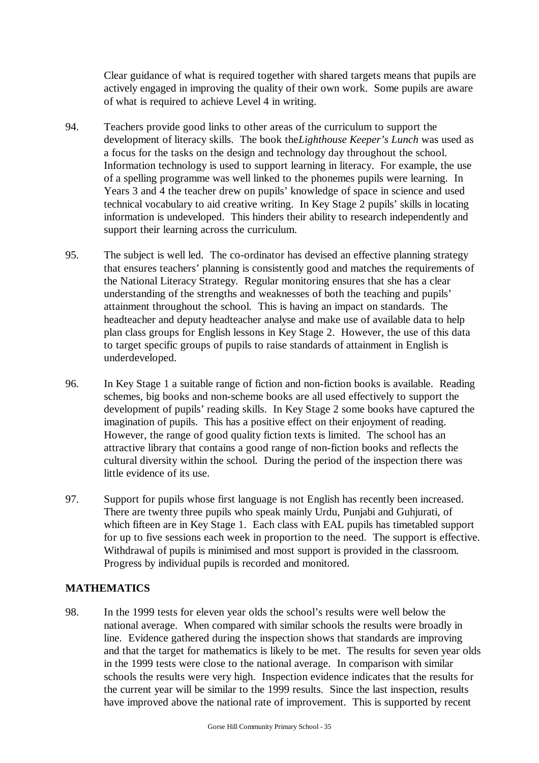Clear guidance of what is required together with shared targets means that pupils are actively engaged in improving the quality of their own work. Some pupils are aware of what is required to achieve Level 4 in writing.

- 94. Teachers provide good links to other areas of the curriculum to support the development of literacy skills. The book the *Lighthouse Keeper's Lunch* was used as a focus for the tasks on the design and technology day throughout the school. Information technology is used to support learning in literacy. For example, the use of a spelling programme was well linked to the phonemes pupils were learning. In Years 3 and 4 the teacher drew on pupils' knowledge of space in science and used technical vocabulary to aid creative writing. In Key Stage 2 pupils' skills in locating information is undeveloped. This hinders their ability to research independently and support their learning across the curriculum.
- 95. The subject is well led. The co-ordinator has devised an effective planning strategy that ensures teachers' planning is consistently good and matches the requirements of the National Literacy Strategy. Regular monitoring ensures that she has a clear understanding of the strengths and weaknesses of both the teaching and pupils' attainment throughout the school. This is having an impact on standards. The headteacher and deputy headteacher analyse and make use of available data to help plan class groups for English lessons in Key Stage 2. However, the use of this data to target specific groups of pupils to raise standards of attainment in English is underdeveloped.
- 96. In Key Stage 1 a suitable range of fiction and non-fiction books is available. Reading schemes, big books and non-scheme books are all used effectively to support the development of pupils' reading skills. In Key Stage 2 some books have captured the imagination of pupils. This has a positive effect on their enjoyment of reading. However, the range of good quality fiction texts is limited. The school has an attractive library that contains a good range of non-fiction books and reflects the cultural diversity within the school. During the period of the inspection there was little evidence of its use.
- 97. Support for pupils whose first language is not English has recently been increased. There are twenty three pupils who speak mainly Urdu, Punjabi and Guhjurati, of which fifteen are in Key Stage 1. Each class with EAL pupils has timetabled support for up to five sessions each week in proportion to the need. The support is effective. Withdrawal of pupils is minimised and most support is provided in the classroom. Progress by individual pupils is recorded and monitored.

## **MATHEMATICS**

98. In the 1999 tests for eleven year olds the school's results were well below the national average. When compared with similar schools the results were broadly in line. Evidence gathered during the inspection shows that standards are improving and that the target for mathematics is likely to be met. The results for seven year olds in the 1999 tests were close to the national average. In comparison with similar schools the results were very high. Inspection evidence indicates that the results for the current year will be similar to the 1999 results. Since the last inspection, results have improved above the national rate of improvement. This is supported by recent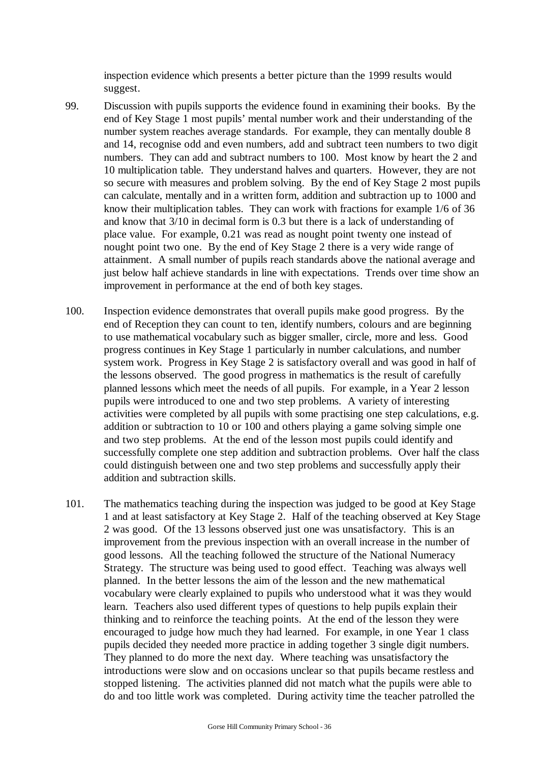inspection evidence which presents a better picture than the 1999 results would suggest.

- 99. Discussion with pupils supports the evidence found in examining their books. By the end of Key Stage 1 most pupils' mental number work and their understanding of the number system reaches average standards. For example, they can mentally double 8 and 14, recognise odd and even numbers, add and subtract teen numbers to two digit numbers. They can add and subtract numbers to 100. Most know by heart the 2 and 10 multiplication table. They understand halves and quarters. However, they are not so secure with measures and problem solving. By the end of Key Stage 2 most pupils can calculate, mentally and in a written form, addition and subtraction up to 1000 and know their multiplication tables. They can work with fractions for example 1/6 of 36 and know that 3/10 in decimal form is 0.3 but there is a lack of understanding of place value. For example, 0.21 was read as nought point twenty one instead of nought point two one. By the end of Key Stage 2 there is a very wide range of attainment. A small number of pupils reach standards above the national average and just below half achieve standards in line with expectations. Trends over time show an improvement in performance at the end of both key stages.
- 100. Inspection evidence demonstrates that overall pupils make good progress. By the end of Reception they can count to ten, identify numbers, colours and are beginning to use mathematical vocabulary such as bigger smaller, circle, more and less. Good progress continues in Key Stage 1 particularly in number calculations, and number system work. Progress in Key Stage 2 is satisfactory overall and was good in half of the lessons observed. The good progress in mathematics is the result of carefully planned lessons which meet the needs of all pupils. For example, in a Year 2 lesson pupils were introduced to one and two step problems. A variety of interesting activities were completed by all pupils with some practising one step calculations, e.g. addition or subtraction to 10 or 100 and others playing a game solving simple one and two step problems. At the end of the lesson most pupils could identify and successfully complete one step addition and subtraction problems. Over half the class could distinguish between one and two step problems and successfully apply their addition and subtraction skills.
- 101. The mathematics teaching during the inspection was judged to be good at Key Stage 1 and at least satisfactory at Key Stage 2. Half of the teaching observed at Key Stage 2 was good. Of the 13 lessons observed just one was unsatisfactory. This is an improvement from the previous inspection with an overall increase in the number of good lessons. All the teaching followed the structure of the National Numeracy Strategy. The structure was being used to good effect. Teaching was always well planned. In the better lessons the aim of the lesson and the new mathematical vocabulary were clearly explained to pupils who understood what it was they would learn. Teachers also used different types of questions to help pupils explain their thinking and to reinforce the teaching points. At the end of the lesson they were encouraged to judge how much they had learned. For example, in one Year 1 class pupils decided they needed more practice in adding together 3 single digit numbers. They planned to do more the next day. Where teaching was unsatisfactory the introductions were slow and on occasions unclear so that pupils became restless and stopped listening. The activities planned did not match what the pupils were able to do and too little work was completed. During activity time the teacher patrolled the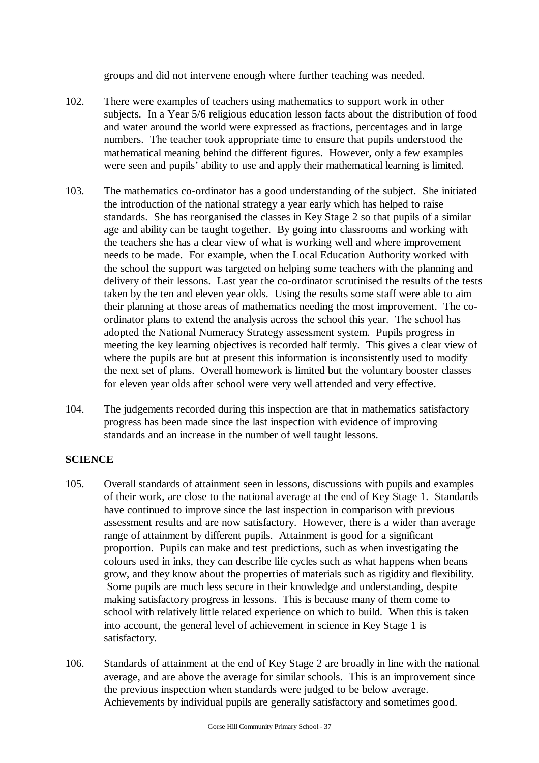groups and did not intervene enough where further teaching was needed.

- 102. There were examples of teachers using mathematics to support work in other subjects. In a Year 5/6 religious education lesson facts about the distribution of food and water around the world were expressed as fractions, percentages and in large numbers. The teacher took appropriate time to ensure that pupils understood the mathematical meaning behind the different figures. However, only a few examples were seen and pupils' ability to use and apply their mathematical learning is limited.
- 103. The mathematics co-ordinator has a good understanding of the subject. She initiated the introduction of the national strategy a year early which has helped to raise standards. She has reorganised the classes in Key Stage 2 so that pupils of a similar age and ability can be taught together. By going into classrooms and working with the teachers she has a clear view of what is working well and where improvement needs to be made. For example, when the Local Education Authority worked with the school the support was targeted on helping some teachers with the planning and delivery of their lessons. Last year the co-ordinator scrutinised the results of the tests taken by the ten and eleven year olds. Using the results some staff were able to aim their planning at those areas of mathematics needing the most improvement. The coordinator plans to extend the analysis across the school this year. The school has adopted the National Numeracy Strategy assessment system. Pupils progress in meeting the key learning objectives is recorded half termly. This gives a clear view of where the pupils are but at present this information is inconsistently used to modify the next set of plans. Overall homework is limited but the voluntary booster classes for eleven year olds after school were very well attended and very effective.
- 104. The judgements recorded during this inspection are that in mathematics satisfactory progress has been made since the last inspection with evidence of improving standards and an increase in the number of well taught lessons.

## **SCIENCE**

- 105. Overall standards of attainment seen in lessons, discussions with pupils and examples of their work, are close to the national average at the end of Key Stage 1. Standards have continued to improve since the last inspection in comparison with previous assessment results and are now satisfactory. However, there is a wider than average range of attainment by different pupils. Attainment is good for a significant proportion. Pupils can make and test predictions, such as when investigating the colours used in inks, they can describe life cycles such as what happens when beans grow, and they know about the properties of materials such as rigidity and flexibility. Some pupils are much less secure in their knowledge and understanding, despite making satisfactory progress in lessons. This is because many of them come to school with relatively little related experience on which to build. When this is taken into account, the general level of achievement in science in Key Stage 1 is satisfactory.
- 106. Standards of attainment at the end of Key Stage 2 are broadly in line with the national average, and are above the average for similar schools. This is an improvement since the previous inspection when standards were judged to be below average. Achievements by individual pupils are generally satisfactory and sometimes good.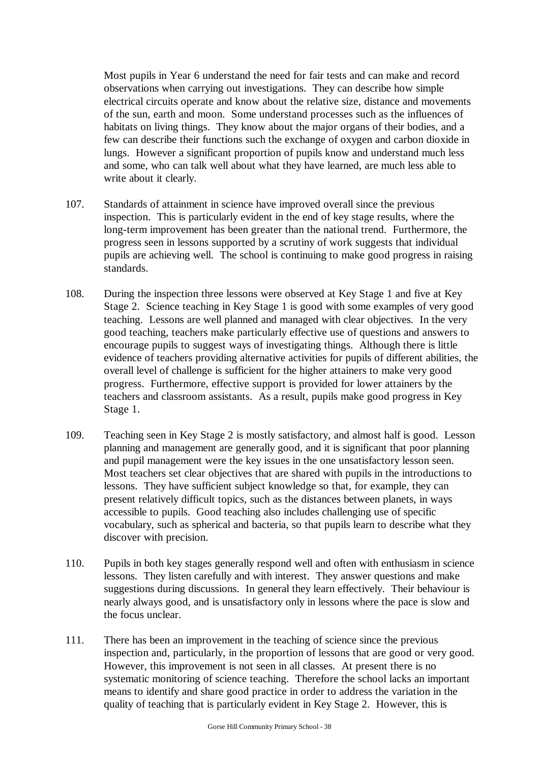Most pupils in Year 6 understand the need for fair tests and can make and record observations when carrying out investigations. They can describe how simple electrical circuits operate and know about the relative size, distance and movements of the sun, earth and moon. Some understand processes such as the influences of habitats on living things. They know about the major organs of their bodies, and a few can describe their functions such the exchange of oxygen and carbon dioxide in lungs. However a significant proportion of pupils know and understand much less and some, who can talk well about what they have learned, are much less able to write about it clearly.

- 107. Standards of attainment in science have improved overall since the previous inspection. This is particularly evident in the end of key stage results, where the long-term improvement has been greater than the national trend. Furthermore, the progress seen in lessons supported by a scrutiny of work suggests that individual pupils are achieving well. The school is continuing to make good progress in raising standards.
- 108. During the inspection three lessons were observed at Key Stage 1 and five at Key Stage 2. Science teaching in Key Stage 1 is good with some examples of very good teaching. Lessons are well planned and managed with clear objectives. In the very good teaching, teachers make particularly effective use of questions and answers to encourage pupils to suggest ways of investigating things. Although there is little evidence of teachers providing alternative activities for pupils of different abilities, the overall level of challenge is sufficient for the higher attainers to make very good progress. Furthermore, effective support is provided for lower attainers by the teachers and classroom assistants. As a result, pupils make good progress in Key Stage 1.
- 109. Teaching seen in Key Stage 2 is mostly satisfactory, and almost half is good. Lesson planning and management are generally good, and it is significant that poor planning and pupil management were the key issues in the one unsatisfactory lesson seen. Most teachers set clear objectives that are shared with pupils in the introductions to lessons. They have sufficient subject knowledge so that, for example, they can present relatively difficult topics, such as the distances between planets, in ways accessible to pupils. Good teaching also includes challenging use of specific vocabulary, such as spherical and bacteria, so that pupils learn to describe what they discover with precision.
- 110. Pupils in both key stages generally respond well and often with enthusiasm in science lessons. They listen carefully and with interest. They answer questions and make suggestions during discussions. In general they learn effectively. Their behaviour is nearly always good, and is unsatisfactory only in lessons where the pace is slow and the focus unclear.
- 111. There has been an improvement in the teaching of science since the previous inspection and, particularly, in the proportion of lessons that are good or very good. However, this improvement is not seen in all classes. At present there is no systematic monitoring of science teaching. Therefore the school lacks an important means to identify and share good practice in order to address the variation in the quality of teaching that is particularly evident in Key Stage 2. However, this is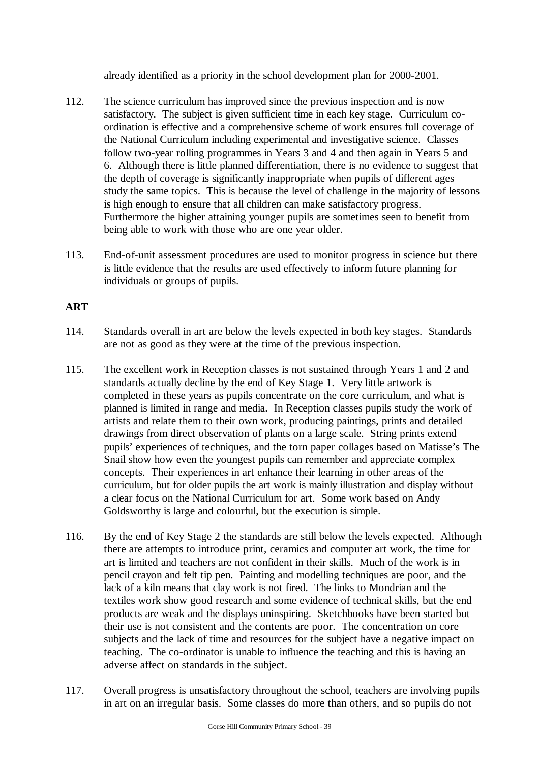already identified as a priority in the school development plan for 2000-2001.

- 112. The science curriculum has improved since the previous inspection and is now satisfactory. The subject is given sufficient time in each key stage. Curriculum coordination is effective and a comprehensive scheme of work ensures full coverage of the National Curriculum including experimental and investigative science. Classes follow two-year rolling programmes in Years 3 and 4 and then again in Years 5 and 6. Although there is little planned differentiation, there is no evidence to suggest that the depth of coverage is significantly inappropriate when pupils of different ages study the same topics. This is because the level of challenge in the majority of lessons is high enough to ensure that all children can make satisfactory progress. Furthermore the higher attaining younger pupils are sometimes seen to benefit from being able to work with those who are one year older.
- 113. End-of-unit assessment procedures are used to monitor progress in science but there is little evidence that the results are used effectively to inform future planning for individuals or groups of pupils.

## **ART**

- 114. Standards overall in art are below the levels expected in both key stages. Standards are not as good as they were at the time of the previous inspection.
- 115. The excellent work in Reception classes is not sustained through Years 1 and 2 and standards actually decline by the end of Key Stage 1. Very little artwork is completed in these years as pupils concentrate on the core curriculum, and what is planned is limited in range and media. In Reception classes pupils study the work of artists and relate them to their own work, producing paintings, prints and detailed drawings from direct observation of plants on a large scale. String prints extend pupils' experiences of techniques, and the torn paper collages based on Matisse's The Snail show how even the youngest pupils can remember and appreciate complex concepts. Their experiences in art enhance their learning in other areas of the curriculum, but for older pupils the art work is mainly illustration and display without a clear focus on the National Curriculum for art. Some work based on Andy Goldsworthy is large and colourful, but the execution is simple.
- 116. By the end of Key Stage 2 the standards are still below the levels expected. Although there are attempts to introduce print, ceramics and computer art work, the time for art is limited and teachers are not confident in their skills. Much of the work is in pencil crayon and felt tip pen. Painting and modelling techniques are poor, and the lack of a kiln means that clay work is not fired. The links to Mondrian and the textiles work show good research and some evidence of technical skills, but the end products are weak and the displays uninspiring. Sketchbooks have been started but their use is not consistent and the contents are poor. The concentration on core subjects and the lack of time and resources for the subject have a negative impact on teaching. The co-ordinator is unable to influence the teaching and this is having an adverse affect on standards in the subject.
- 117. Overall progress is unsatisfactory throughout the school, teachers are involving pupils in art on an irregular basis. Some classes do more than others, and so pupils do not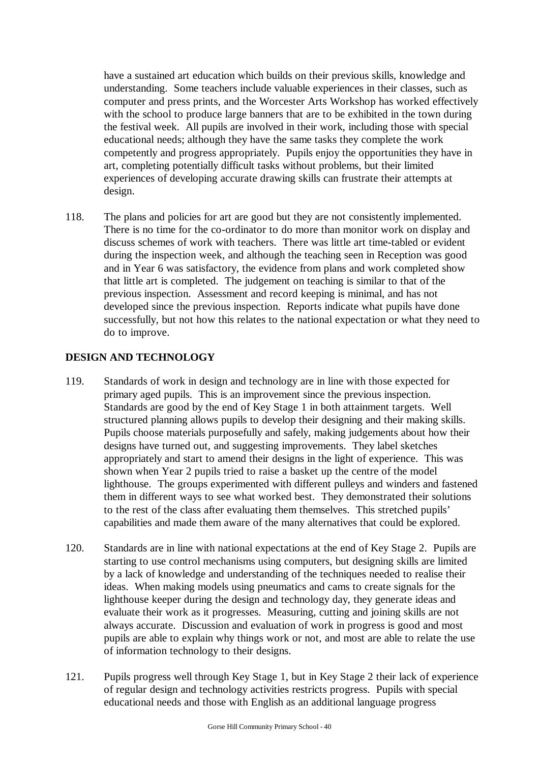have a sustained art education which builds on their previous skills, knowledge and understanding. Some teachers include valuable experiences in their classes, such as computer and press prints, and the Worcester Arts Workshop has worked effectively with the school to produce large banners that are to be exhibited in the town during the festival week. All pupils are involved in their work, including those with special educational needs; although they have the same tasks they complete the work competently and progress appropriately. Pupils enjoy the opportunities they have in art, completing potentially difficult tasks without problems, but their limited experiences of developing accurate drawing skills can frustrate their attempts at design.

118. The plans and policies for art are good but they are not consistently implemented. There is no time for the co-ordinator to do more than monitor work on display and discuss schemes of work with teachers. There was little art time-tabled or evident during the inspection week, and although the teaching seen in Reception was good and in Year 6 was satisfactory, the evidence from plans and work completed show that little art is completed. The judgement on teaching is similar to that of the previous inspection. Assessment and record keeping is minimal, and has not developed since the previous inspection. Reports indicate what pupils have done successfully, but not how this relates to the national expectation or what they need to do to improve.

## **DESIGN AND TECHNOLOGY**

- 119. Standards of work in design and technology are in line with those expected for primary aged pupils. This is an improvement since the previous inspection. Standards are good by the end of Key Stage 1 in both attainment targets. Well structured planning allows pupils to develop their designing and their making skills. Pupils choose materials purposefully and safely, making judgements about how their designs have turned out, and suggesting improvements. They label sketches appropriately and start to amend their designs in the light of experience. This was shown when Year 2 pupils tried to raise a basket up the centre of the model lighthouse. The groups experimented with different pulleys and winders and fastened them in different ways to see what worked best. They demonstrated their solutions to the rest of the class after evaluating them themselves. This stretched pupils' capabilities and made them aware of the many alternatives that could be explored.
- 120. Standards are in line with national expectations at the end of Key Stage 2. Pupils are starting to use control mechanisms using computers, but designing skills are limited by a lack of knowledge and understanding of the techniques needed to realise their ideas. When making models using pneumatics and cams to create signals for the lighthouse keeper during the design and technology day, they generate ideas and evaluate their work as it progresses. Measuring, cutting and joining skills are not always accurate. Discussion and evaluation of work in progress is good and most pupils are able to explain why things work or not, and most are able to relate the use of information technology to their designs.
- 121. Pupils progress well through Key Stage 1, but in Key Stage 2 their lack of experience of regular design and technology activities restricts progress. Pupils with special educational needs and those with English as an additional language progress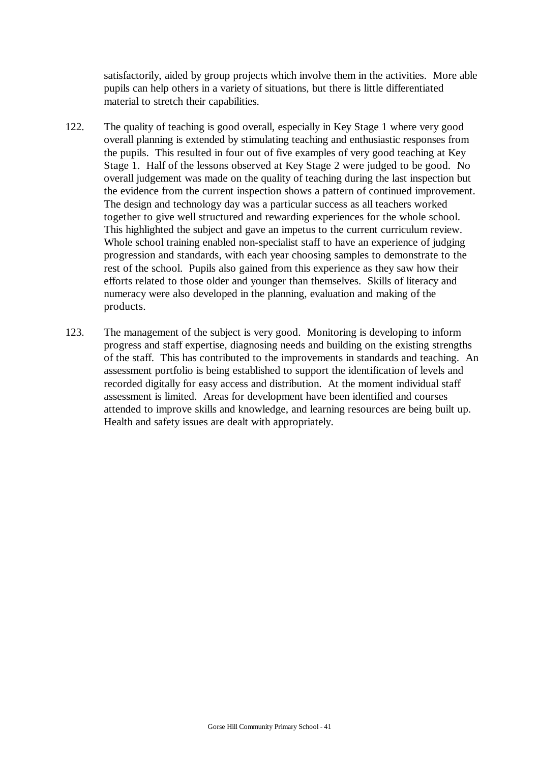satisfactorily, aided by group projects which involve them in the activities. More able pupils can help others in a variety of situations, but there is little differentiated material to stretch their capabilities.

- 122. The quality of teaching is good overall, especially in Key Stage 1 where very good overall planning is extended by stimulating teaching and enthusiastic responses from the pupils. This resulted in four out of five examples of very good teaching at Key Stage 1. Half of the lessons observed at Key Stage 2 were judged to be good. No overall judgement was made on the quality of teaching during the last inspection but the evidence from the current inspection shows a pattern of continued improvement. The design and technology day was a particular success as all teachers worked together to give well structured and rewarding experiences for the whole school. This highlighted the subject and gave an impetus to the current curriculum review. Whole school training enabled non-specialist staff to have an experience of judging progression and standards, with each year choosing samples to demonstrate to the rest of the school. Pupils also gained from this experience as they saw how their efforts related to those older and younger than themselves. Skills of literacy and numeracy were also developed in the planning, evaluation and making of the products.
- 123. The management of the subject is very good. Monitoring is developing to inform progress and staff expertise, diagnosing needs and building on the existing strengths of the staff. This has contributed to the improvements in standards and teaching. An assessment portfolio is being established to support the identification of levels and recorded digitally for easy access and distribution. At the moment individual staff assessment is limited. Areas for development have been identified and courses attended to improve skills and knowledge, and learning resources are being built up. Health and safety issues are dealt with appropriately.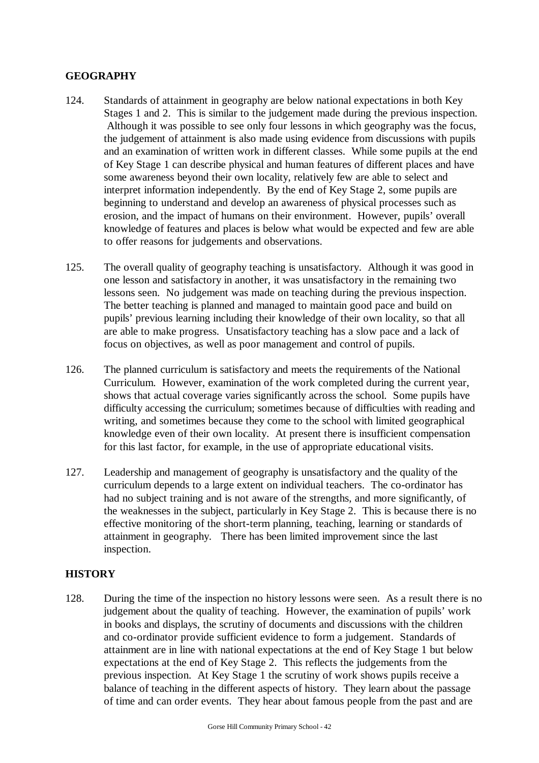#### **GEOGRAPHY**

- 124. Standards of attainment in geography are below national expectations in both Key Stages 1 and 2. This is similar to the judgement made during the previous inspection. Although it was possible to see only four lessons in which geography was the focus, the judgement of attainment is also made using evidence from discussions with pupils and an examination of written work in different classes. While some pupils at the end of Key Stage 1 can describe physical and human features of different places and have some awareness beyond their own locality, relatively few are able to select and interpret information independently. By the end of Key Stage 2, some pupils are beginning to understand and develop an awareness of physical processes such as erosion, and the impact of humans on their environment. However, pupils' overall knowledge of features and places is below what would be expected and few are able to offer reasons for judgements and observations.
- 125. The overall quality of geography teaching is unsatisfactory. Although it was good in one lesson and satisfactory in another, it was unsatisfactory in the remaining two lessons seen. No judgement was made on teaching during the previous inspection. The better teaching is planned and managed to maintain good pace and build on pupils' previous learning including their knowledge of their own locality, so that all are able to make progress. Unsatisfactory teaching has a slow pace and a lack of focus on objectives, as well as poor management and control of pupils.
- 126. The planned curriculum is satisfactory and meets the requirements of the National Curriculum. However, examination of the work completed during the current year, shows that actual coverage varies significantly across the school. Some pupils have difficulty accessing the curriculum; sometimes because of difficulties with reading and writing, and sometimes because they come to the school with limited geographical knowledge even of their own locality. At present there is insufficient compensation for this last factor, for example, in the use of appropriate educational visits.
- 127. Leadership and management of geography is unsatisfactory and the quality of the curriculum depends to a large extent on individual teachers. The co-ordinator has had no subject training and is not aware of the strengths, and more significantly, of the weaknesses in the subject, particularly in Key Stage 2. This is because there is no effective monitoring of the short-term planning, teaching, learning or standards of attainment in geography. There has been limited improvement since the last inspection.

#### **HISTORY**

128. During the time of the inspection no history lessons were seen. As a result there is no judgement about the quality of teaching. However, the examination of pupils' work in books and displays, the scrutiny of documents and discussions with the children and co-ordinator provide sufficient evidence to form a judgement. Standards of attainment are in line with national expectations at the end of Key Stage 1 but below expectations at the end of Key Stage 2. This reflects the judgements from the previous inspection. At Key Stage 1 the scrutiny of work shows pupils receive a balance of teaching in the different aspects of history. They learn about the passage of time and can order events. They hear about famous people from the past and are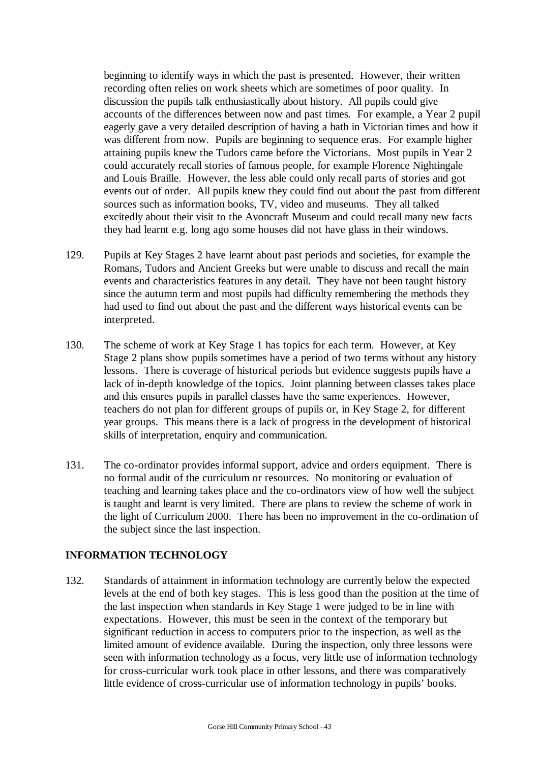beginning to identify ways in which the past is presented. However, their written recording often relies on work sheets which are sometimes of poor quality. In discussion the pupils talk enthusiastically about history. All pupils could give accounts of the differences between now and past times. For example, a Year 2 pupil eagerly gave a very detailed description of having a bath in Victorian times and how it was different from now. Pupils are beginning to sequence eras. For example higher attaining pupils knew the Tudors came before the Victorians. Most pupils in Year 2 could accurately recall stories of famous people, for example Florence Nightingale and Louis Braille. However, the less able could only recall parts of stories and got events out of order. All pupils knew they could find out about the past from different sources such as information books, TV, video and museums. They all talked excitedly about their visit to the Avoncraft Museum and could recall many new facts they had learnt e.g. long ago some houses did not have glass in their windows.

- 129. Pupils at Key Stages 2 have learnt about past periods and societies, for example the Romans, Tudors and Ancient Greeks but were unable to discuss and recall the main events and characteristics features in any detail. They have not been taught history since the autumn term and most pupils had difficulty remembering the methods they had used to find out about the past and the different ways historical events can be interpreted.
- 130. The scheme of work at Key Stage 1 has topics for each term. However, at Key Stage 2 plans show pupils sometimes have a period of two terms without any history lessons. There is coverage of historical periods but evidence suggests pupils have a lack of in-depth knowledge of the topics. Joint planning between classes takes place and this ensures pupils in parallel classes have the same experiences. However, teachers do not plan for different groups of pupils or, in Key Stage 2, for different year groups. This means there is a lack of progress in the development of historical skills of interpretation, enquiry and communication.
- 131. The co-ordinator provides informal support, advice and orders equipment. There is no formal audit of the curriculum or resources. No monitoring or evaluation of teaching and learning takes place and the co-ordinators view of how well the subject is taught and learnt is very limited. There are plans to review the scheme of work in the light of Curriculum 2000. There has been no improvement in the co-ordination of the subject since the last inspection.

#### **INFORMATION TECHNOLOGY**

132. Standards of attainment in information technology are currently below the expected levels at the end of both key stages. This is less good than the position at the time of the last inspection when standards in Key Stage 1 were judged to be in line with expectations. However, this must be seen in the context of the temporary but significant reduction in access to computers prior to the inspection, as well as the limited amount of evidence available. During the inspection, only three lessons were seen with information technology as a focus, very little use of information technology for cross-curricular work took place in other lessons, and there was comparatively little evidence of cross-curricular use of information technology in pupils' books.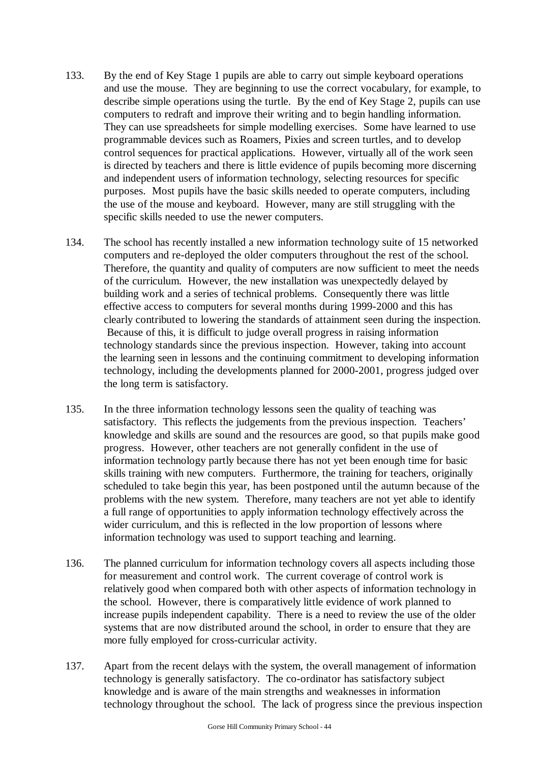- 133. By the end of Key Stage 1 pupils are able to carry out simple keyboard operations and use the mouse. They are beginning to use the correct vocabulary, for example, to describe simple operations using the turtle. By the end of Key Stage 2, pupils can use computers to redraft and improve their writing and to begin handling information. They can use spreadsheets for simple modelling exercises. Some have learned to use programmable devices such as Roamers, Pixies and screen turtles, and to develop control sequences for practical applications. However, virtually all of the work seen is directed by teachers and there is little evidence of pupils becoming more discerning and independent users of information technology, selecting resources for specific purposes. Most pupils have the basic skills needed to operate computers, including the use of the mouse and keyboard. However, many are still struggling with the specific skills needed to use the newer computers.
- 134. The school has recently installed a new information technology suite of 15 networked computers and re-deployed the older computers throughout the rest of the school. Therefore, the quantity and quality of computers are now sufficient to meet the needs of the curriculum. However, the new installation was unexpectedly delayed by building work and a series of technical problems. Consequently there was little effective access to computers for several months during 1999-2000 and this has clearly contributed to lowering the standards of attainment seen during the inspection. Because of this, it is difficult to judge overall progress in raising information technology standards since the previous inspection. However, taking into account the learning seen in lessons and the continuing commitment to developing information technology, including the developments planned for 2000-2001, progress judged over the long term is satisfactory.
- 135. In the three information technology lessons seen the quality of teaching was satisfactory. This reflects the judgements from the previous inspection. Teachers' knowledge and skills are sound and the resources are good, so that pupils make good progress. However, other teachers are not generally confident in the use of information technology partly because there has not yet been enough time for basic skills training with new computers. Furthermore, the training for teachers, originally scheduled to take begin this year, has been postponed until the autumn because of the problems with the new system. Therefore, many teachers are not yet able to identify a full range of opportunities to apply information technology effectively across the wider curriculum, and this is reflected in the low proportion of lessons where information technology was used to support teaching and learning.
- 136. The planned curriculum for information technology covers all aspects including those for measurement and control work. The current coverage of control work is relatively good when compared both with other aspects of information technology in the school. However, there is comparatively little evidence of work planned to increase pupils independent capability. There is a need to review the use of the older systems that are now distributed around the school, in order to ensure that they are more fully employed for cross-curricular activity.
- 137. Apart from the recent delays with the system, the overall management of information technology is generally satisfactory. The co-ordinator has satisfactory subject knowledge and is aware of the main strengths and weaknesses in information technology throughout the school. The lack of progress since the previous inspection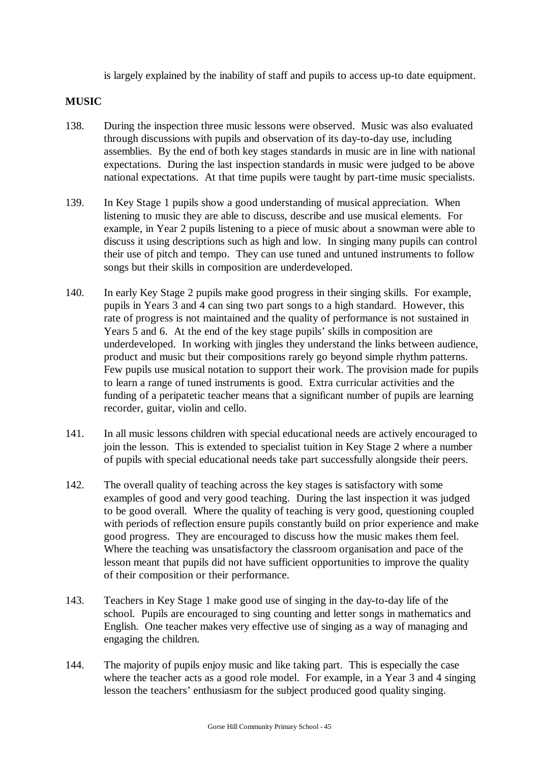is largely explained by the inability of staff and pupils to access up-to date equipment.

## **MUSIC**

- 138. During the inspection three music lessons were observed. Music was also evaluated through discussions with pupils and observation of its day-to-day use, including assemblies. By the end of both key stages standards in music are in line with national expectations. During the last inspection standards in music were judged to be above national expectations. At that time pupils were taught by part-time music specialists.
- 139. In Key Stage 1 pupils show a good understanding of musical appreciation. When listening to music they are able to discuss, describe and use musical elements. For example, in Year 2 pupils listening to a piece of music about a snowman were able to discuss it using descriptions such as high and low. In singing many pupils can control their use of pitch and tempo. They can use tuned and untuned instruments to follow songs but their skills in composition are underdeveloped.
- 140. In early Key Stage 2 pupils make good progress in their singing skills. For example, pupils in Years 3 and 4 can sing two part songs to a high standard. However, this rate of progress is not maintained and the quality of performance is not sustained in Years 5 and 6. At the end of the key stage pupils' skills in composition are underdeveloped. In working with jingles they understand the links between audience, product and music but their compositions rarely go beyond simple rhythm patterns. Few pupils use musical notation to support their work. The provision made for pupils to learn a range of tuned instruments is good. Extra curricular activities and the funding of a peripatetic teacher means that a significant number of pupils are learning recorder, guitar, violin and cello.
- 141. In all music lessons children with special educational needs are actively encouraged to join the lesson. This is extended to specialist tuition in Key Stage 2 where a number of pupils with special educational needs take part successfully alongside their peers.
- 142. The overall quality of teaching across the key stages is satisfactory with some examples of good and very good teaching. During the last inspection it was judged to be good overall. Where the quality of teaching is very good, questioning coupled with periods of reflection ensure pupils constantly build on prior experience and make good progress. They are encouraged to discuss how the music makes them feel. Where the teaching was unsatisfactory the classroom organisation and pace of the lesson meant that pupils did not have sufficient opportunities to improve the quality of their composition or their performance.
- 143. Teachers in Key Stage 1 make good use of singing in the day-to-day life of the school. Pupils are encouraged to sing counting and letter songs in mathematics and English. One teacher makes very effective use of singing as a way of managing and engaging the children.
- 144. The majority of pupils enjoy music and like taking part. This is especially the case where the teacher acts as a good role model. For example, in a Year 3 and 4 singing lesson the teachers' enthusiasm for the subject produced good quality singing.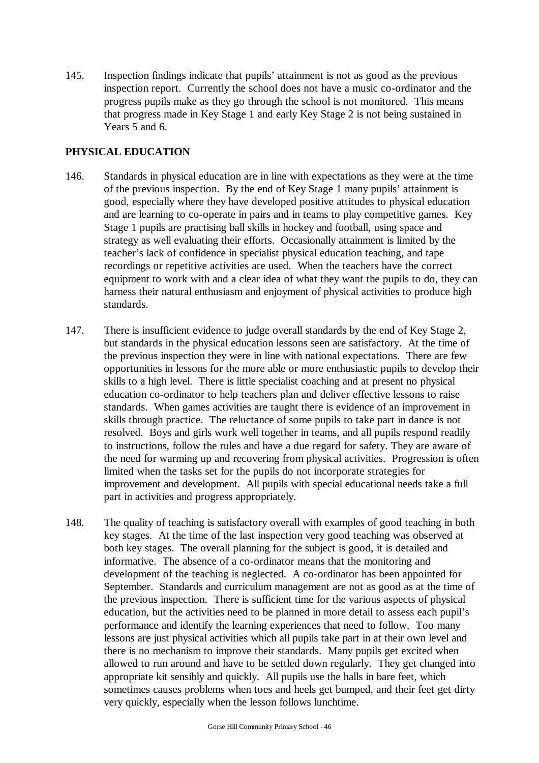145. Inspection findings indicate that pupils' attainment is not as good as the previous inspection report. Currently the school does not have a music co-ordinator and the progress pupils make as they go through the school is not monitored. This means that progress made in Key Stage 1 and early Key Stage 2 is not being sustained in Years 5 and 6.

## **PHYSICAL EDUCATION**

- 146. Standards in physical education are in line with expectations as they were at the time of the previous inspection. By the end of Key Stage 1 many pupils' attainment is good, especially where they have developed positive attitudes to physical education and are learning to co-operate in pairs and in teams to play competitive games. Key Stage 1 pupils are practising ball skills in hockey and football, using space and strategy as well evaluating their efforts. Occasionally attainment is limited by the teacher's lack of confidence in specialist physical education teaching, and tape recordings or repetitive activities are used. When the teachers have the correct equipment to work with and a clear idea of what they want the pupils to do, they can harness their natural enthusiasm and enjoyment of physical activities to produce high standards.
- 147. There is insufficient evidence to judge overall standards by the end of Key Stage 2, but standards in the physical education lessons seen are satisfactory. At the time of the previous inspection they were in line with national expectations. There are few opportunities in lessons for the more able or more enthusiastic pupils to develop their skills to a high level. There is little specialist coaching and at present no physical education co-ordinator to help teachers plan and deliver effective lessons to raise standards. When games activities are taught there is evidence of an improvement in skills through practice. The reluctance of some pupils to take part in dance is not resolved. Boys and girls work well together in teams, and all pupils respond readily to instructions, follow the rules and have a due regard for safety. They are aware of the need for warming up and recovering from physical activities. Progression is often limited when the tasks set for the pupils do not incorporate strategies for improvement and development. All pupils with special educational needs take a full part in activities and progress appropriately.
- 148. The quality of teaching is satisfactory overall with examples of good teaching in both key stages. At the time of the last inspection very good teaching was observed at both key stages. The overall planning for the subject is good, it is detailed and informative. The absence of a co-ordinator means that the monitoring and development of the teaching is neglected. A co-ordinator has been appointed for September. Standards and curriculum management are not as good as at the time of the previous inspection. There is sufficient time for the various aspects of physical education, but the activities need to be planned in more detail to assess each pupil's performance and identify the learning experiences that need to follow. Too many lessons are just physical activities which all pupils take part in at their own level and there is no mechanism to improve their standards. Many pupils get excited when allowed to run around and have to be settled down regularly. They get changed into appropriate kit sensibly and quickly. All pupils use the halls in bare feet, which sometimes causes problems when toes and heels get bumped, and their feet get dirty very quickly, especially when the lesson follows lunchtime.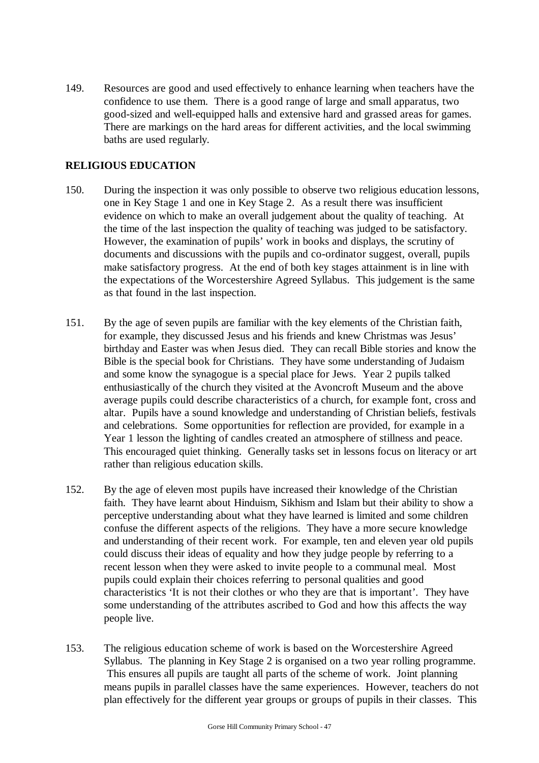149. Resources are good and used effectively to enhance learning when teachers have the confidence to use them. There is a good range of large and small apparatus, two good-sized and well-equipped halls and extensive hard and grassed areas for games. There are markings on the hard areas for different activities, and the local swimming baths are used regularly.

## **RELIGIOUS EDUCATION**

- 150. During the inspection it was only possible to observe two religious education lessons, one in Key Stage 1 and one in Key Stage 2. As a result there was insufficient evidence on which to make an overall judgement about the quality of teaching. At the time of the last inspection the quality of teaching was judged to be satisfactory. However, the examination of pupils' work in books and displays, the scrutiny of documents and discussions with the pupils and co-ordinator suggest, overall, pupils make satisfactory progress. At the end of both key stages attainment is in line with the expectations of the Worcestershire Agreed Syllabus. This judgement is the same as that found in the last inspection.
- 151. By the age of seven pupils are familiar with the key elements of the Christian faith, for example, they discussed Jesus and his friends and knew Christmas was Jesus' birthday and Easter was when Jesus died. They can recall Bible stories and know the Bible is the special book for Christians. They have some understanding of Judaism and some know the synagogue is a special place for Jews. Year 2 pupils talked enthusiastically of the church they visited at the Avoncroft Museum and the above average pupils could describe characteristics of a church, for example font, cross and altar. Pupils have a sound knowledge and understanding of Christian beliefs, festivals and celebrations. Some opportunities for reflection are provided, for example in a Year 1 lesson the lighting of candles created an atmosphere of stillness and peace. This encouraged quiet thinking. Generally tasks set in lessons focus on literacy or art rather than religious education skills.
- 152. By the age of eleven most pupils have increased their knowledge of the Christian faith. They have learnt about Hinduism, Sikhism and Islam but their ability to show a perceptive understanding about what they have learned is limited and some children confuse the different aspects of the religions. They have a more secure knowledge and understanding of their recent work. For example, ten and eleven year old pupils could discuss their ideas of equality and how they judge people by referring to a recent lesson when they were asked to invite people to a communal meal. Most pupils could explain their choices referring to personal qualities and good characteristics 'It is not their clothes or who they are that is important'. They have some understanding of the attributes ascribed to God and how this affects the way people live.
- 153. The religious education scheme of work is based on the Worcestershire Agreed Syllabus. The planning in Key Stage 2 is organised on a two year rolling programme. This ensures all pupils are taught all parts of the scheme of work. Joint planning means pupils in parallel classes have the same experiences. However, teachers do not plan effectively for the different year groups or groups of pupils in their classes. This